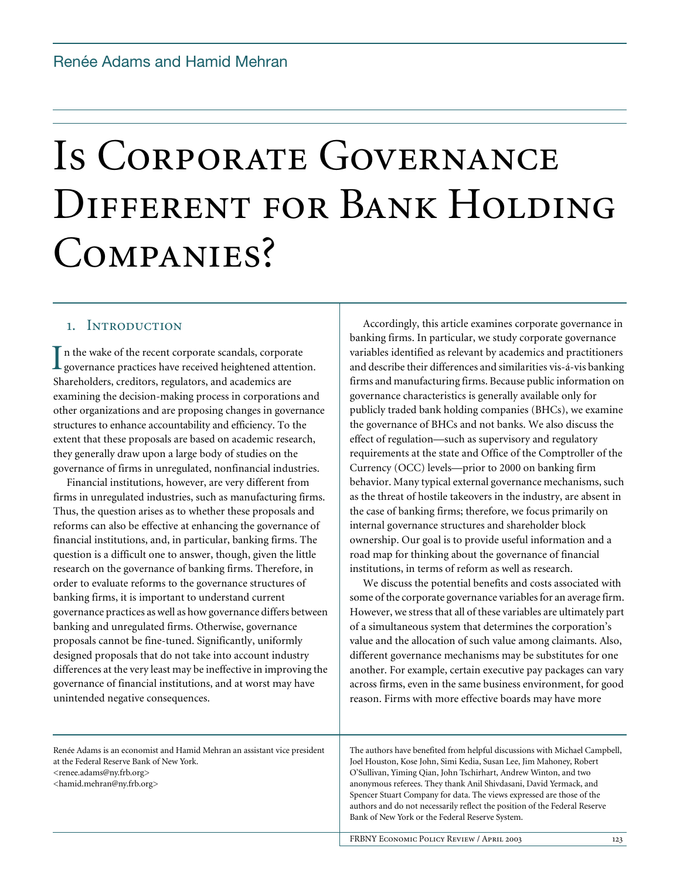# Is Corporate Governance Different for Bank Holding Companies?

#### 1. Introduction

In the wake of the recent corporate scandals, corporate  $\prod$ n the wake of the recent corporate scandals, corporate governance practices have received heightened attention. Shareholders, creditors, regulators, and academics are examining the decision-making process in corporations and other organizations and are proposing changes in governance structures to enhance accountability and efficiency. To the extent that these proposals are based on academic research, they generally draw upon a large body of studies on the governance of firms in unregulated, nonfinancial industries.

Financial institutions, however, are very different from firms in unregulated industries, such as manufacturing firms. Thus, the question arises as to whether these proposals and reforms can also be effective at enhancing the governance of financial institutions, and, in particular, banking firms. The question is a difficult one to answer, though, given the little research on the governance of banking firms. Therefore, in order to evaluate reforms to the governance structures of banking firms, it is important to understand current governance practices as well as how governance differs between banking and unregulated firms. Otherwise, governance proposals cannot be fine-tuned. Significantly, uniformly designed proposals that do not take into account industry differences at the very least may be ineffective in improving the governance of financial institutions, and at worst may have unintended negative consequences.

Renée Adams is an economist and Hamid Mehran an assistant vice president at the Federal Reserve Bank of New York. <renee.adams@ny.frb.org> <hamid.mehran@ny.frb.org>

Accordingly, this article examines corporate governance in banking firms. In particular, we study corporate governance variables identified as relevant by academics and practitioners and describe their differences and similarities vis-á-vis banking firms and manufacturing firms. Because public information on governance characteristics is generally available only for publicly traded bank holding companies (BHCs), we examine the governance of BHCs and not banks. We also discuss the effect of regulation—such as supervisory and regulatory requirements at the state and Office of the Comptroller of the Currency (OCC) levels—prior to 2000 on banking firm behavior. Many typical external governance mechanisms, such as the threat of hostile takeovers in the industry, are absent in the case of banking firms; therefore, we focus primarily on internal governance structures and shareholder block ownership. Our goal is to provide useful information and a road map for thinking about the governance of financial institutions, in terms of reform as well as research.

We discuss the potential benefits and costs associated with some of the corporate governance variables for an average firm. However, we stress that all of these variables are ultimately part of a simultaneous system that determines the corporation's value and the allocation of such value among claimants. Also, different governance mechanisms may be substitutes for one another. For example, certain executive pay packages can vary across firms, even in the same business environment, for good reason. Firms with more effective boards may have more

The authors have benefited from helpful discussions with Michael Campbell, Joel Houston, Kose John, Simi Kedia, Susan Lee, Jim Mahoney, Robert O'Sullivan, Yiming Qian, John Tschirhart, Andrew Winton, and two anonymous referees. They thank Anil Shivdasani, David Yermack, and Spencer Stuart Company for data. The views expressed are those of the authors and do not necessarily reflect the position of the Federal Reserve Bank of New York or the Federal Reserve System.

FRBNY ECONOMIC POLICY REVIEW / APRIL 2003 123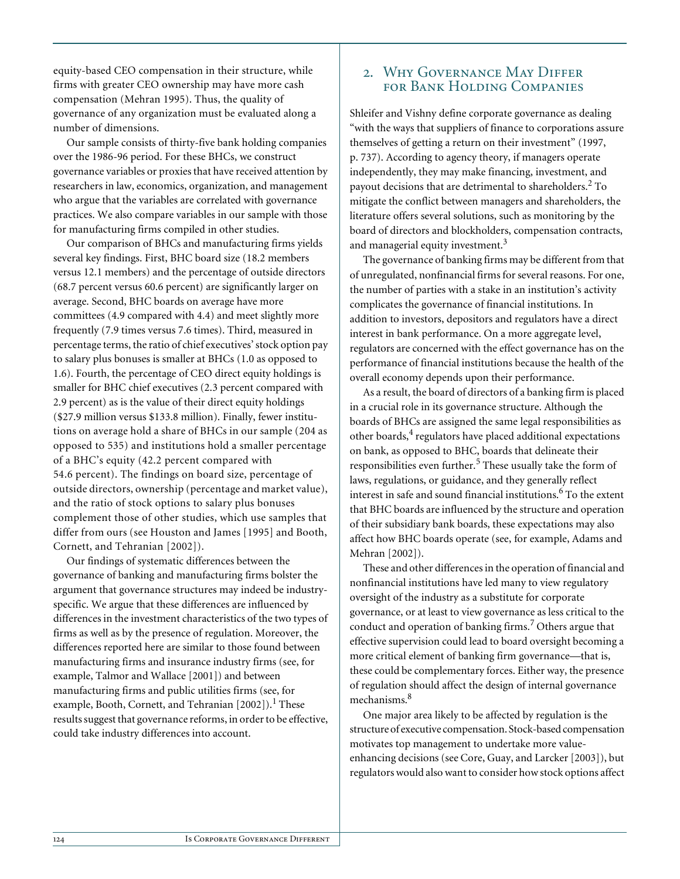equity-based CEO compensation in their structure, while firms with greater CEO ownership may have more cash compensation (Mehran 1995). Thus, the quality of governance of any organization must be evaluated along a number of dimensions.

Our sample consists of thirty-five bank holding companies over the 1986-96 period. For these BHCs, we construct governance variables or proxies that have received attention by researchers in law, economics, organization, and management who argue that the variables are correlated with governance practices. We also compare variables in our sample with those for manufacturing firms compiled in other studies.

Our comparison of BHCs and manufacturing firms yields several key findings. First, BHC board size (18.2 members versus 12.1 members) and the percentage of outside directors (68.7 percent versus 60.6 percent) are significantly larger on average. Second, BHC boards on average have more committees (4.9 compared with 4.4) and meet slightly more frequently (7.9 times versus 7.6 times). Third, measured in percentage terms, the ratio of chief executives' stock option pay to salary plus bonuses is smaller at BHCs (1.0 as opposed to 1.6). Fourth, the percentage of CEO direct equity holdings is smaller for BHC chief executives (2.3 percent compared with 2.9 percent) as is the value of their direct equity holdings (\$27.9 million versus \$133.8 million). Finally, fewer institutions on average hold a share of BHCs in our sample (204 as opposed to 535) and institutions hold a smaller percentage of a BHC's equity (42.2 percent compared with 54.6 percent). The findings on board size, percentage of outside directors, ownership (percentage and market value), and the ratio of stock options to salary plus bonuses complement those of other studies, which use samples that differ from ours (see Houston and James [1995] and Booth, Cornett, and Tehranian [2002]).

Our findings of systematic differences between the governance of banking and manufacturing firms bolster the argument that governance structures may indeed be industryspecific. We argue that these differences are influenced by differences in the investment characteristics of the two types of firms as well as by the presence of regulation. Moreover, the differences reported here are similar to those found between manufacturing firms and insurance industry firms (see, for example, Talmor and Wallace [2001]) and between manufacturing firms and public utilities firms (see, for example, Booth, Cornett, and Tehranian  $[2002])$ .<sup>1</sup> These results suggest that governance reforms, in order to be effective, could take industry differences into account.

### 2. Why Governance May Differ for Bank Holding Companies

Shleifer and Vishny define corporate governance as dealing "with the ways that suppliers of finance to corporations assure themselves of getting a return on their investment" (1997, p. 737). According to agency theory, if managers operate independently, they may make financing, investment, and payout decisions that are detrimental to shareholders. $^2$  To mitigate the conflict between managers and shareholders, the literature offers several solutions, such as monitoring by the board of directors and blockholders, compensation contracts, and managerial equity investment.<sup>3</sup>

The governance of banking firms may be different from that of unregulated, nonfinancial firms for several reasons. For one, the number of parties with a stake in an institution's activity complicates the governance of financial institutions. In addition to investors, depositors and regulators have a direct interest in bank performance. On a more aggregate level, regulators are concerned with the effect governance has on the performance of financial institutions because the health of the overall economy depends upon their performance.

As a result, the board of directors of a banking firm is placed in a crucial role in its governance structure. Although the boards of BHCs are assigned the same legal responsibilities as other boards,  $\rm ^4$  regulators have placed additional expectations on bank, as opposed to BHC, boards that delineate their responsibilities even further.<sup>5</sup> These usually take the form of laws, regulations, or guidance, and they generally reflect interest in safe and sound financial institutions.  $\rm ^6$  To the extent that BHC boards are influenced by the structure and operation of their subsidiary bank boards, these expectations may also affect how BHC boards operate (see, for example, Adams and Mehran [2002]).

These and other differences in the operation of financial and nonfinancial institutions have led many to view regulatory oversight of the industry as a substitute for corporate governance, or at least to view governance as less critical to the conduct and operation of banking firms.<sup>7</sup> Others argue that effective supervision could lead to board oversight becoming a more critical element of banking firm governance—that is, these could be complementary forces. Either way, the presence of regulation should affect the design of internal governance mechanisms.<sup>8</sup>

One major area likely to be affected by regulation is the structure of executive compensation. Stock-based compensation motivates top management to undertake more valueenhancing decisions (see Core, Guay, and Larcker [2003]), but regulators would also want to consider how stock options affect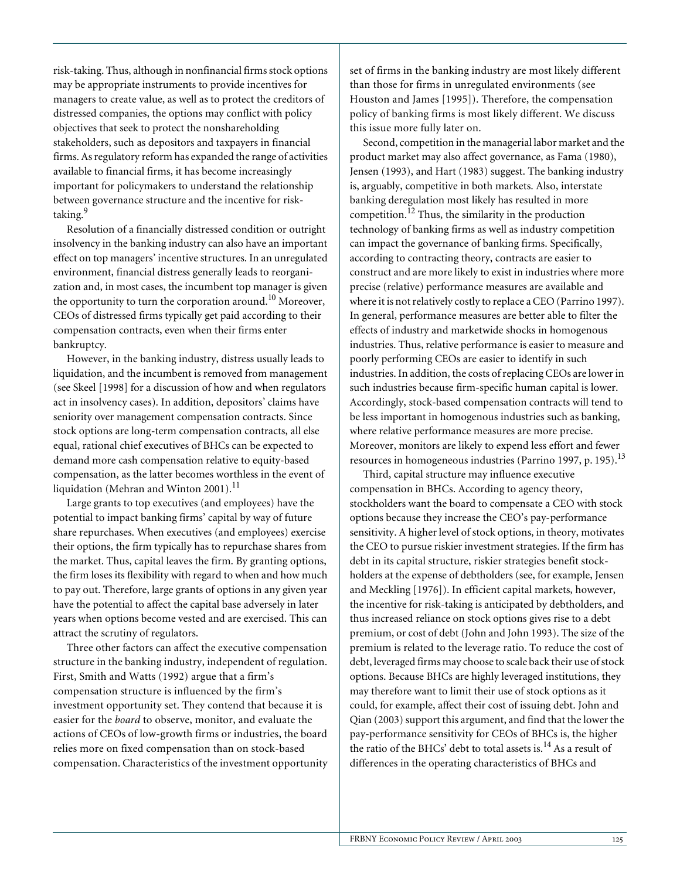risk-taking. Thus, although in nonfinancial firms stock options may be appropriate instruments to provide incentives for managers to create value, as well as to protect the creditors of distressed companies, the options may conflict with policy objectives that seek to protect the nonshareholding stakeholders, such as depositors and taxpayers in financial firms. As regulatory reform has expanded the range of activities available to financial firms, it has become increasingly important for policymakers to understand the relationship between governance structure and the incentive for risktaking.<sup>9</sup>

Resolution of a financially distressed condition or outright insolvency in the banking industry can also have an important effect on top managers' incentive structures. In an unregulated environment, financial distress generally leads to reorganization and, in most cases, the incumbent top manager is given the opportunity to turn the corporation around.<sup>10</sup> Moreover, CEOs of distressed firms typically get paid according to their compensation contracts, even when their firms enter bankruptcy.

However, in the banking industry, distress usually leads to liquidation, and the incumbent is removed from management (see Skeel [1998] for a discussion of how and when regulators act in insolvency cases). In addition, depositors' claims have seniority over management compensation contracts. Since stock options are long-term compensation contracts, all else equal, rational chief executives of BHCs can be expected to demand more cash compensation relative to equity-based compensation, as the latter becomes worthless in the event of liquidation (Mehran and Winton 2001).<sup>11</sup>

Large grants to top executives (and employees) have the potential to impact banking firms' capital by way of future share repurchases. When executives (and employees) exercise their options, the firm typically has to repurchase shares from the market. Thus, capital leaves the firm. By granting options, the firm loses its flexibility with regard to when and how much to pay out. Therefore, large grants of options in any given year have the potential to affect the capital base adversely in later years when options become vested and are exercised. This can attract the scrutiny of regulators.

Three other factors can affect the executive compensation structure in the banking industry, independent of regulation. First, Smith and Watts (1992) argue that a firm's compensation structure is influenced by the firm's investment opportunity set. They contend that because it is easier for the *board* to observe, monitor, and evaluate the actions of CEOs of low-growth firms or industries, the board relies more on fixed compensation than on stock-based compensation. Characteristics of the investment opportunity set of firms in the banking industry are most likely different than those for firms in unregulated environments (see Houston and James [1995]). Therefore, the compensation policy of banking firms is most likely different. We discuss this issue more fully later on.

Second, competition in the managerial labor market and the product market may also affect governance, as Fama (1980), Jensen (1993), and Hart (1983) suggest. The banking industry is, arguably, competitive in both markets. Also, interstate banking deregulation most likely has resulted in more competition.12 Thus, the similarity in the production technology of banking firms as well as industry competition can impact the governance of banking firms. Specifically, according to contracting theory, contracts are easier to construct and are more likely to exist in industries where more precise (relative) performance measures are available and where it is not relatively costly to replace a CEO (Parrino 1997). In general, performance measures are better able to filter the effects of industry and marketwide shocks in homogenous industries. Thus, relative performance is easier to measure and poorly performing CEOs are easier to identify in such industries. In addition, the costs of replacing CEOs are lower in such industries because firm-specific human capital is lower. Accordingly, stock-based compensation contracts will tend to be less important in homogenous industries such as banking, where relative performance measures are more precise. Moreover, monitors are likely to expend less effort and fewer resources in homogeneous industries (Parrino 1997, p. 195).<sup>13</sup>

Third, capital structure may influence executive compensation in BHCs. According to agency theory, stockholders want the board to compensate a CEO with stock options because they increase the CEO's pay-performance sensitivity. A higher level of stock options, in theory, motivates the CEO to pursue riskier investment strategies. If the firm has debt in its capital structure, riskier strategies benefit stockholders at the expense of debtholders (see, for example, Jensen and Meckling [1976]). In efficient capital markets, however, the incentive for risk-taking is anticipated by debtholders, and thus increased reliance on stock options gives rise to a debt premium, or cost of debt (John and John 1993). The size of the premium is related to the leverage ratio. To reduce the cost of debt, leveraged firms may choose to scale back their use of stock options. Because BHCs are highly leveraged institutions, they may therefore want to limit their use of stock options as it could, for example, affect their cost of issuing debt. John and Qian (2003) support this argument, and find that the lower the pay-performance sensitivity for CEOs of BHCs is, the higher the ratio of the BHCs' debt to total assets is.<sup>14</sup> As a result of differences in the operating characteristics of BHCs and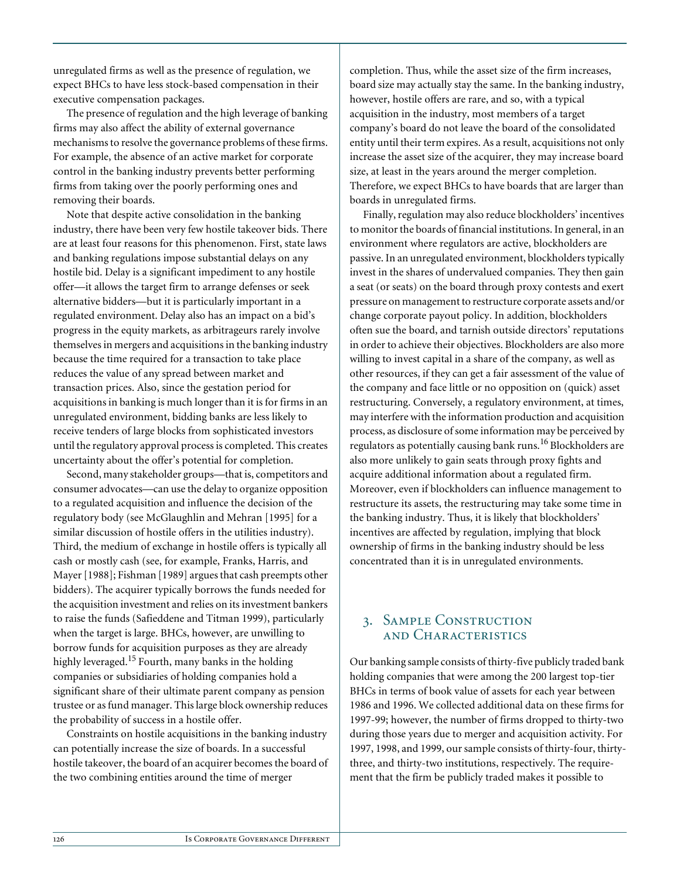unregulated firms as well as the presence of regulation, we expect BHCs to have less stock-based compensation in their executive compensation packages.

The presence of regulation and the high leverage of banking firms may also affect the ability of external governance mechanisms to resolve the governance problems of these firms. For example, the absence of an active market for corporate control in the banking industry prevents better performing firms from taking over the poorly performing ones and removing their boards.

Note that despite active consolidation in the banking industry, there have been very few hostile takeover bids. There are at least four reasons for this phenomenon. First, state laws and banking regulations impose substantial delays on any hostile bid. Delay is a significant impediment to any hostile offer—it allows the target firm to arrange defenses or seek alternative bidders—but it is particularly important in a regulated environment. Delay also has an impact on a bid's progress in the equity markets, as arbitrageurs rarely involve themselves in mergers and acquisitions in the banking industry because the time required for a transaction to take place reduces the value of any spread between market and transaction prices. Also, since the gestation period for acquisitions in banking is much longer than it is for firms in an unregulated environment, bidding banks are less likely to receive tenders of large blocks from sophisticated investors until the regulatory approval process is completed. This creates uncertainty about the offer's potential for completion.

Second, many stakeholder groups—that is, competitors and consumer advocates—can use the delay to organize opposition to a regulated acquisition and influence the decision of the regulatory body (see McGlaughlin and Mehran [1995] for a similar discussion of hostile offers in the utilities industry). Third, the medium of exchange in hostile offers is typically all cash or mostly cash (see, for example, Franks, Harris, and Mayer [1988]; Fishman [1989] argues that cash preempts other bidders). The acquirer typically borrows the funds needed for the acquisition investment and relies on its investment bankers to raise the funds (Safieddene and Titman 1999), particularly when the target is large. BHCs, however, are unwilling to borrow funds for acquisition purposes as they are already highly leveraged.<sup>15</sup> Fourth, many banks in the holding companies or subsidiaries of holding companies hold a significant share of their ultimate parent company as pension trustee or as fund manager. This large block ownership reduces the probability of success in a hostile offer.

Constraints on hostile acquisitions in the banking industry can potentially increase the size of boards. In a successful hostile takeover, the board of an acquirer becomes the board of the two combining entities around the time of merger

completion. Thus, while the asset size of the firm increases, board size may actually stay the same. In the banking industry, however, hostile offers are rare, and so, with a typical acquisition in the industry, most members of a target company's board do not leave the board of the consolidated entity until their term expires. As a result, acquisitions not only increase the asset size of the acquirer, they may increase board size, at least in the years around the merger completion. Therefore, we expect BHCs to have boards that are larger than boards in unregulated firms.

Finally, regulation may also reduce blockholders' incentives to monitor the boards of financial institutions. In general, in an environment where regulators are active, blockholders are passive. In an unregulated environment, blockholders typically invest in the shares of undervalued companies. They then gain a seat (or seats) on the board through proxy contests and exert pressure on management to restructure corporate assets and/or change corporate payout policy. In addition, blockholders often sue the board, and tarnish outside directors' reputations in order to achieve their objectives. Blockholders are also more willing to invest capital in a share of the company, as well as other resources, if they can get a fair assessment of the value of the company and face little or no opposition on (quick) asset restructuring. Conversely, a regulatory environment, at times, may interfere with the information production and acquisition process, as disclosure of some information may be perceived by regulators as potentially causing bank runs.<sup>16</sup> Blockholders are also more unlikely to gain seats through proxy fights and acquire additional information about a regulated firm. Moreover, even if blockholders can influence management to restructure its assets, the restructuring may take some time in the banking industry. Thus, it is likely that blockholders' incentives are affected by regulation, implying that block ownership of firms in the banking industry should be less concentrated than it is in unregulated environments.

## 3. Sample Construction and Characteristics

Our banking sample consists of thirty-five publicly traded bank holding companies that were among the 200 largest top-tier BHCs in terms of book value of assets for each year between 1986 and 1996. We collected additional data on these firms for 1997-99; however, the number of firms dropped to thirty-two during those years due to merger and acquisition activity. For 1997, 1998, and 1999, our sample consists of thirty-four, thirtythree, and thirty-two institutions, respectively. The requirement that the firm be publicly traded makes it possible to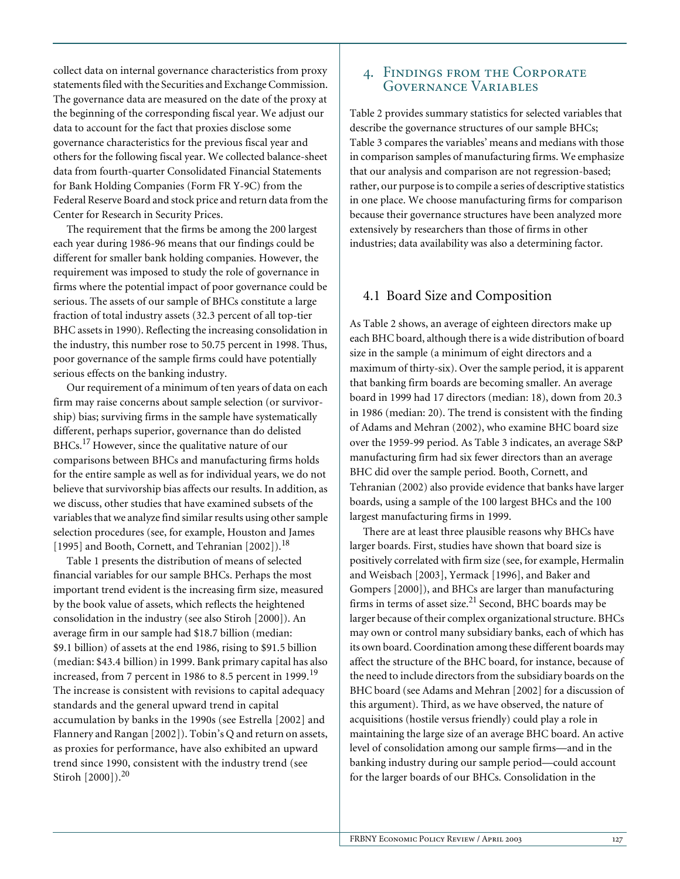collect data on internal governance characteristics from proxy statements filed with the Securities and Exchange Commission. The governance data are measured on the date of the proxy at the beginning of the corresponding fiscal year. We adjust our data to account for the fact that proxies disclose some governance characteristics for the previous fiscal year and others for the following fiscal year. We collected balance-sheet data from fourth-quarter Consolidated Financial Statements for Bank Holding Companies (Form FR Y-9C) from the Federal Reserve Board and stock price and return data from the Center for Research in Security Prices.

The requirement that the firms be among the 200 largest each year during 1986-96 means that our findings could be different for smaller bank holding companies. However, the requirement was imposed to study the role of governance in firms where the potential impact of poor governance could be serious. The assets of our sample of BHCs constitute a large fraction of total industry assets (32.3 percent of all top-tier BHC assets in 1990). Reflecting the increasing consolidation in the industry, this number rose to 50.75 percent in 1998. Thus, poor governance of the sample firms could have potentially serious effects on the banking industry.

Our requirement of a minimum of ten years of data on each firm may raise concerns about sample selection (or survivorship) bias; surviving firms in the sample have systematically different, perhaps superior, governance than do delisted BHCs.<sup>17</sup> However, since the qualitative nature of our comparisons between BHCs and manufacturing firms holds for the entire sample as well as for individual years, we do not believe that survivorship bias affects our results. In addition, as we discuss, other studies that have examined subsets of the variables that we analyze find similar results using other sample selection procedures (see, for example, Houston and James [1995] and Booth, Cornett, and Tehranian [2002]).<sup>18</sup>

Table 1 presents the distribution of means of selected financial variables for our sample BHCs. Perhaps the most important trend evident is the increasing firm size, measured by the book value of assets, which reflects the heightened consolidation in the industry (see also Stiroh [2000]). An average firm in our sample had \$18.7 billion (median: \$9.1 billion) of assets at the end 1986, rising to \$91.5 billion (median: \$43.4 billion) in 1999. Bank primary capital has also increased, from 7 percent in 1986 to 8.5 percent in 1999.<sup>19</sup> The increase is consistent with revisions to capital adequacy standards and the general upward trend in capital accumulation by banks in the 1990s (see Estrella [2002] and Flannery and Rangan [2002]). Tobin's Q and return on assets, as proxies for performance, have also exhibited an upward trend since 1990, consistent with the industry trend (see Stiroh [2000]).<sup>20</sup>

## 4. Findings from the Corporate Governance Variables

Table 2 provides summary statistics for selected variables that describe the governance structures of our sample BHCs; Table 3 compares the variables' means and medians with those in comparison samples of manufacturing firms. We emphasize that our analysis and comparison are not regression-based; rather, our purpose is to compile a series of descriptive statistics in one place. We choose manufacturing firms for comparison because their governance structures have been analyzed more extensively by researchers than those of firms in other industries; data availability was also a determining factor.

# 4.1 Board Size and Composition

As Table 2 shows, an average of eighteen directors make up each BHC board, although there is a wide distribution of board size in the sample (a minimum of eight directors and a maximum of thirty-six). Over the sample period, it is apparent that banking firm boards are becoming smaller. An average board in 1999 had 17 directors (median: 18), down from 20.3 in 1986 (median: 20). The trend is consistent with the finding of Adams and Mehran (2002), who examine BHC board size over the 1959-99 period. As Table 3 indicates, an average S&P manufacturing firm had six fewer directors than an average BHC did over the sample period. Booth, Cornett, and Tehranian (2002) also provide evidence that banks have larger boards, using a sample of the 100 largest BHCs and the 100 largest manufacturing firms in 1999.

There are at least three plausible reasons why BHCs have larger boards. First, studies have shown that board size is positively correlated with firm size (see, for example, Hermalin and Weisbach [2003], Yermack [1996], and Baker and Gompers [2000]), and BHCs are larger than manufacturing firms in terms of asset size.<sup>21</sup> Second, BHC boards may be larger because of their complex organizational structure. BHCs may own or control many subsidiary banks, each of which has its own board. Coordination among these different boards may affect the structure of the BHC board, for instance, because of the need to include directors from the subsidiary boards on the BHC board (see Adams and Mehran [2002] for a discussion of this argument). Third, as we have observed, the nature of acquisitions (hostile versus friendly) could play a role in maintaining the large size of an average BHC board. An active level of consolidation among our sample firms—and in the banking industry during our sample period—could account for the larger boards of our BHCs. Consolidation in the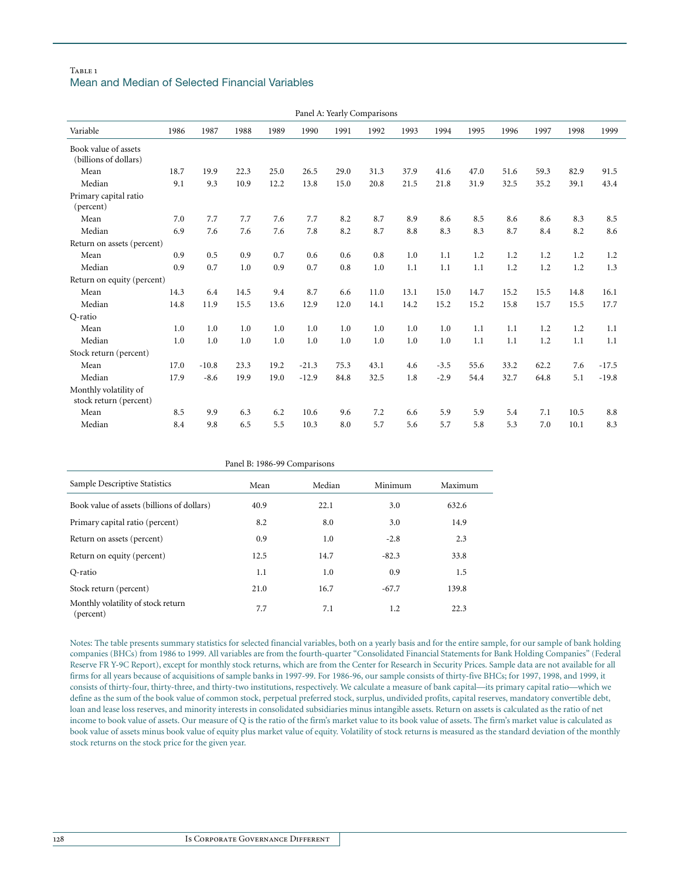#### TABLE<sub>1</sub> Mean and Median of Selected Financial Variables

| Panel A: Yearly Comparisons                     |      |         |      |      |         |      |      |      |        |      |      |      |      |         |
|-------------------------------------------------|------|---------|------|------|---------|------|------|------|--------|------|------|------|------|---------|
| Variable                                        | 1986 | 1987    | 1988 | 1989 | 1990    | 1991 | 1992 | 1993 | 1994   | 1995 | 1996 | 1997 | 1998 | 1999    |
| Book value of assets<br>(billions of dollars)   |      |         |      |      |         |      |      |      |        |      |      |      |      |         |
| Mean                                            | 18.7 | 19.9    | 22.3 | 25.0 | 26.5    | 29.0 | 31.3 | 37.9 | 41.6   | 47.0 | 51.6 | 59.3 | 82.9 | 91.5    |
| Median                                          | 9.1  | 9.3     | 10.9 | 12.2 | 13.8    | 15.0 | 20.8 | 21.5 | 21.8   | 31.9 | 32.5 | 35.2 | 39.1 | 43.4    |
| Primary capital ratio<br>(percent)              |      |         |      |      |         |      |      |      |        |      |      |      |      |         |
| Mean                                            | 7.0  | 7.7     | 7.7  | 7.6  | 7.7     | 8.2  | 8.7  | 8.9  | 8.6    | 8.5  | 8.6  | 8.6  | 8.3  | 8.5     |
| Median                                          | 6.9  | 7.6     | 7.6  | 7.6  | 7.8     | 8.2  | 8.7  | 8.8  | 8.3    | 8.3  | 8.7  | 8.4  | 8.2  | 8.6     |
| Return on assets (percent)                      |      |         |      |      |         |      |      |      |        |      |      |      |      |         |
| Mean                                            | 0.9  | 0.5     | 0.9  | 0.7  | 0.6     | 0.6  | 0.8  | 1.0  | 1.1    | 1.2  | 1.2  | 1.2  | 1.2  | 1.2     |
| Median                                          | 0.9  | 0.7     | 1.0  | 0.9  | 0.7     | 0.8  | 1.0  | 1.1  | 1.1    | 1.1  | 1.2  | 1.2  | 1.2  | 1.3     |
| Return on equity (percent)                      |      |         |      |      |         |      |      |      |        |      |      |      |      |         |
| Mean                                            | 14.3 | 6.4     | 14.5 | 9.4  | 8.7     | 6.6  | 11.0 | 13.1 | 15.0   | 14.7 | 15.2 | 15.5 | 14.8 | 16.1    |
| Median                                          | 14.8 | 11.9    | 15.5 | 13.6 | 12.9    | 12.0 | 14.1 | 14.2 | 15.2   | 15.2 | 15.8 | 15.7 | 15.5 | 17.7    |
| O-ratio                                         |      |         |      |      |         |      |      |      |        |      |      |      |      |         |
| Mean                                            | 1.0  | 1.0     | 1.0  | 1.0  | 1.0     | 1.0  | 1.0  | 1.0  | 1.0    | 1.1  | 1.1  | 1.2  | 1.2  | 1.1     |
| Median                                          | 1.0  | 1.0     | 1.0  | 1.0  | 1.0     | 1.0  | 1.0  | 1.0  | 1.0    | 1.1  | 1.1  | 1.2  | 1.1  | 1.1     |
| Stock return (percent)                          |      |         |      |      |         |      |      |      |        |      |      |      |      |         |
| Mean                                            | 17.0 | $-10.8$ | 23.3 | 19.2 | $-21.3$ | 75.3 | 43.1 | 4.6  | $-3.5$ | 55.6 | 33.2 | 62.2 | 7.6  | $-17.5$ |
| Median                                          | 17.9 | $-8.6$  | 19.9 | 19.0 | $-12.9$ | 84.8 | 32.5 | 1.8  | $-2.9$ | 54.4 | 32.7 | 64.8 | 5.1  | $-19.8$ |
| Monthly volatility of<br>stock return (percent) |      |         |      |      |         |      |      |      |        |      |      |      |      |         |
| Mean                                            | 8.5  | 9.9     | 6.3  | 6.2  | 10.6    | 9.6  | 7.2  | 6.6  | 5.9    | 5.9  | 5.4  | 7.1  | 10.5 | 8.8     |
| Median                                          | 8.4  | 9.8     | 6.5  | 5.5  | 10.3    | 8.0  | 5.7  | 5.6  | 5.7    | 5.8  | 5.3  | 7.0  | 10.1 | 8.3     |

| Panel B: 1986-99 Comparisons                    |      |        |         |         |  |  |  |  |  |
|-------------------------------------------------|------|--------|---------|---------|--|--|--|--|--|
| Sample Descriptive Statistics                   | Mean | Median | Minimum | Maximum |  |  |  |  |  |
| Book value of assets (billions of dollars)      | 40.9 | 22.1   | 3.0     | 632.6   |  |  |  |  |  |
| Primary capital ratio (percent)                 | 8.2  | 8.0    | 3.0     | 14.9    |  |  |  |  |  |
| Return on assets (percent)                      | 0.9  | 1.0    | $-2.8$  | 2.3     |  |  |  |  |  |
| Return on equity (percent)                      | 12.5 | 14.7   | $-82.3$ | 33.8    |  |  |  |  |  |
| O-ratio                                         | 1.1  | 1.0    | 0.9     | 1.5     |  |  |  |  |  |
| Stock return (percent)                          | 21.0 | 16.7   | $-67.7$ | 139.8   |  |  |  |  |  |
| Monthly volatility of stock return<br>(percent) | 7.7  | 7.1    | 1.2     | 22.3    |  |  |  |  |  |

Notes: The table presents summary statistics for selected financial variables, both on a yearly basis and for the entire sample, for our sample of bank holding companies (BHCs) from 1986 to 1999. All variables are from the fourth-quarter "Consolidated Financial Statements for Bank Holding Companies" (Federal Reserve FR Y-9C Report), except for monthly stock returns, which are from the Center for Research in Security Prices. Sample data are not available for all firms for all years because of acquisitions of sample banks in 1997-99. For 1986-96, our sample consists of thirty-five BHCs; for 1997, 1998, and 1999, it consists of thirty-four, thirty-three, and thirty-two institutions, respectively. We calculate a measure of bank capital—its primary capital ratio—which we define as the sum of the book value of common stock, perpetual preferred stock, surplus, undivided profits, capital reserves, mandatory convertible debt, loan and lease loss reserves, and minority interests in consolidated subsidiaries minus intangible assets. Return on assets is calculated as the ratio of net income to book value of assets. Our measure of Q is the ratio of the firm's market value to its book value of assets. The firm's market value is calculated as book value of assets minus book value of equity plus market value of equity. Volatility of stock returns is measured as the standard deviation of the monthly stock returns on the stock price for the given year.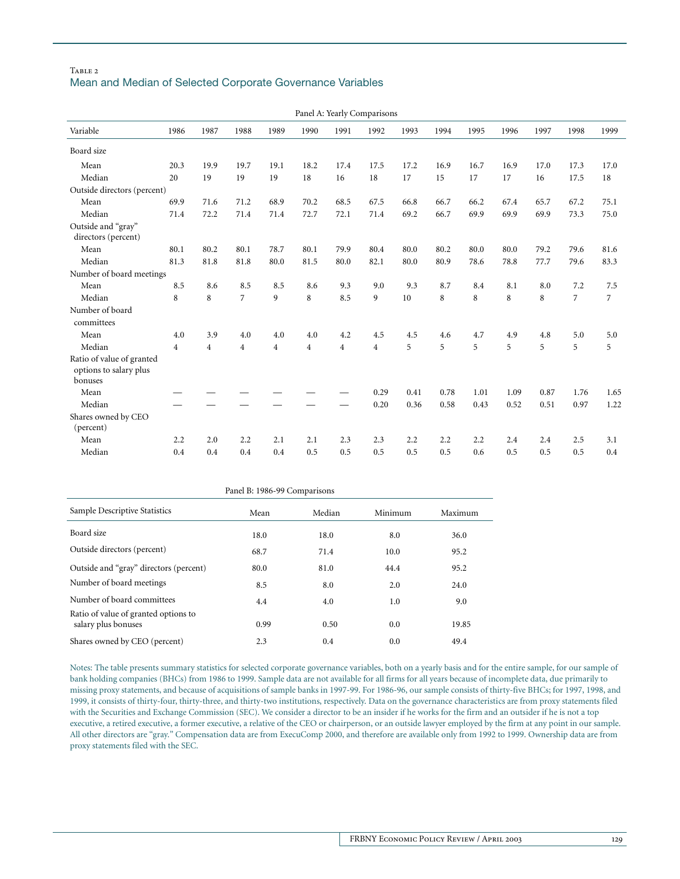#### TABLE 2 Mean and Median of Selected Corporate Governance Variables

| Panel A: Yearly Comparisons                                    |                |                |                |      |                |                |                |      |      |      |      |      |                |      |
|----------------------------------------------------------------|----------------|----------------|----------------|------|----------------|----------------|----------------|------|------|------|------|------|----------------|------|
| Variable                                                       | 1986           | 1987           | 1988           | 1989 | 1990           | 1991           | 1992           | 1993 | 1994 | 1995 | 1996 | 1997 | 1998           | 1999 |
| Board size                                                     |                |                |                |      |                |                |                |      |      |      |      |      |                |      |
| Mean                                                           | 20.3           | 19.9           | 19.7           | 19.1 | 18.2           | 17.4           | 17.5           | 17.2 | 16.9 | 16.7 | 16.9 | 17.0 | 17.3           | 17.0 |
| Median                                                         | 20             | 19             | 19             | 19   | 18             | 16             | 18             | 17   | 15   | 17   | 17   | 16   | 17.5           | 18   |
| Outside directors (percent)                                    |                |                |                |      |                |                |                |      |      |      |      |      |                |      |
| Mean                                                           | 69.9           | 71.6           | 71.2           | 68.9 | 70.2           | 68.5           | 67.5           | 66.8 | 66.7 | 66.2 | 67.4 | 65.7 | 67.2           | 75.1 |
| Median                                                         | 71.4           | 72.2           | 71.4           | 71.4 | 72.7           | 72.1           | 71.4           | 69.2 | 66.7 | 69.9 | 69.9 | 69.9 | 73.3           | 75.0 |
| Outside and "gray"<br>directors (percent)                      |                |                |                |      |                |                |                |      |      |      |      |      |                |      |
| Mean                                                           | 80.1           | 80.2           | 80.1           | 78.7 | 80.1           | 79.9           | 80.4           | 80.0 | 80.2 | 80.0 | 80.0 | 79.2 | 79.6           | 81.6 |
| Median                                                         | 81.3           | 81.8           | 81.8           | 80.0 | 81.5           | 80.0           | 82.1           | 80.0 | 80.9 | 78.6 | 78.8 | 77.7 | 79.6           | 83.3 |
| Number of board meetings                                       |                |                |                |      |                |                |                |      |      |      |      |      |                |      |
| Mean                                                           | 8.5            | 8.6            | 8.5            | 8.5  | 8.6            | 9.3            | 9.0            | 9.3  | 8.7  | 8.4  | 8.1  | 8.0  | 7.2            | 7.5  |
| Median                                                         | 8              | 8              | 7              | 9    | 8              | 8.5            | 9              | 10   | 8    | 8    | 8    | 8    | $\overline{7}$ | 7    |
| Number of board                                                |                |                |                |      |                |                |                |      |      |      |      |      |                |      |
| committees                                                     |                |                |                |      |                |                |                |      |      |      |      |      |                |      |
| Mean                                                           | 4.0            | 3.9            | 4.0            | 4.0  | 4.0            | 4.2            | 4.5            | 4.5  | 4.6  | 4.7  | 4.9  | 4.8  | 5.0            | 5.0  |
| Median                                                         | $\overline{4}$ | $\overline{4}$ | $\overline{4}$ | 4    | $\overline{4}$ | $\overline{4}$ | $\overline{4}$ | 5    | 5    | 5    | 5    | 5    | 5              | 5    |
| Ratio of value of granted<br>options to salary plus<br>bonuses |                |                |                |      |                |                |                |      |      |      |      |      |                |      |
| Mean                                                           |                |                |                |      |                |                | 0.29           | 0.41 | 0.78 | 1.01 | 1.09 | 0.87 | 1.76           | 1.65 |
| Median                                                         |                |                |                |      |                |                | 0.20           | 0.36 | 0.58 | 0.43 | 0.52 | 0.51 | 0.97           | 1.22 |
| Shares owned by CEO<br>(percent)                               |                |                |                |      |                |                |                |      |      |      |      |      |                |      |
| Mean                                                           | 2.2            | 2.0            | 2.2            | 2.1  | 2.1            | 2.3            | 2.3            | 2.2  | 2.2  | 2.2  | 2.4  | 2.4  | 2.5            | 3.1  |
| Median                                                         | 0.4            | 0.4            | 0.4            | 0.4  | 0.5            | 0.5            | 0.5            | 0.5  | 0.5  | 0.6  | 0.5  | 0.5  | 0.5            | 0.4  |

| Panel B: 1986-99 Comparisons                                |      |        |         |         |  |  |  |  |
|-------------------------------------------------------------|------|--------|---------|---------|--|--|--|--|
| Sample Descriptive Statistics                               | Mean | Median | Minimum | Maximum |  |  |  |  |
| Board size                                                  | 18.0 | 18.0   | 8.0     | 36.0    |  |  |  |  |
| Outside directors (percent)                                 | 68.7 | 71.4   | 10.0    | 95.2    |  |  |  |  |
| Outside and "gray" directors (percent)                      | 80.0 | 81.0   | 44.4    | 95.2    |  |  |  |  |
| Number of board meetings                                    | 8.5  | 8.0    | 2.0     | 24.0    |  |  |  |  |
| Number of board committees                                  | 4.4  | 4.0    | 1.0     | 9.0     |  |  |  |  |
| Ratio of value of granted options to<br>salary plus bonuses | 0.99 | 0.50   | 0.0     | 19.85   |  |  |  |  |
| Shares owned by CEO (percent)                               | 2.3  | 0.4    | 0.0     | 49.4    |  |  |  |  |

Notes: The table presents summary statistics for selected corporate governance variables, both on a yearly basis and for the entire sample, for our sample of bank holding companies (BHCs) from 1986 to 1999. Sample data are not available for all firms for all years because of incomplete data, due primarily to missing proxy statements, and because of acquisitions of sample banks in 1997-99. For 1986-96, our sample consists of thirty-five BHCs; for 1997, 1998, and 1999, it consists of thirty-four, thirty-three, and thirty-two institutions, respectively. Data on the governance characteristics are from proxy statements filed with the Securities and Exchange Commission (SEC). We consider a director to be an insider if he works for the firm and an outsider if he is not a top executive, a retired executive, a former executive, a relative of the CEO or chairperson, or an outside lawyer employed by the firm at any point in our sample. All other directors are "gray." Compensation data are from ExecuComp 2000, and therefore are available only from 1992 to 1999. Ownership data are from proxy statements filed with the SEC.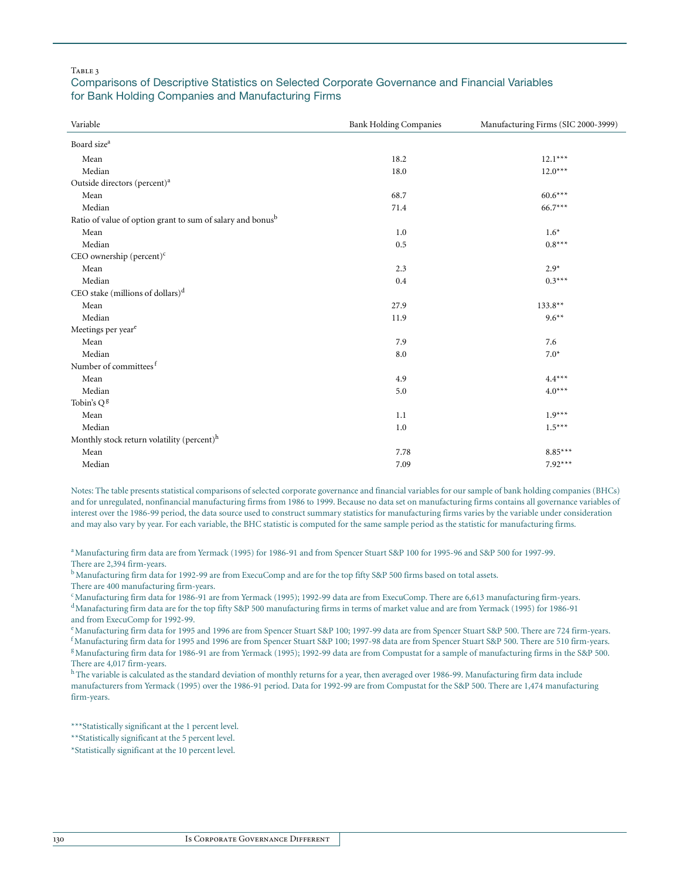#### TABLE 3

#### Comparisons of Descriptive Statistics on Selected Corporate Governance and Financial Variables for Bank Holding Companies and Manufacturing Firms

| Variable                                                               | <b>Bank Holding Companies</b> | Manufacturing Firms (SIC 2000-3999) |
|------------------------------------------------------------------------|-------------------------------|-------------------------------------|
| Board size <sup>a</sup>                                                |                               |                                     |
| Mean                                                                   | 18.2                          | $12.1***$                           |
| Median                                                                 | 18.0                          | $12.0***$                           |
| Outside directors (percent) <sup>a</sup>                               |                               |                                     |
| Mean                                                                   | 68.7                          | $60.6***$                           |
| Median                                                                 | 71.4                          | $66.7***$                           |
| Ratio of value of option grant to sum of salary and bonus <sup>b</sup> |                               |                                     |
| Mean                                                                   | 1.0                           | $1.6*$                              |
| Median                                                                 | 0.5                           | $0.8***$                            |
| CEO ownership (percent) <sup>c</sup>                                   |                               |                                     |
| Mean                                                                   | 2.3                           | $2.9*$                              |
| Median                                                                 | 0.4                           | $0.3***$                            |
| CEO stake (millions of dollars) <sup>d</sup>                           |                               |                                     |
| Mean                                                                   | 27.9                          | $133.8**$                           |
| Median                                                                 | 11.9                          | $9.6***$                            |
| Meetings per year <sup>e</sup>                                         |                               |                                     |
| Mean                                                                   | 7.9                           | 7.6                                 |
| Median                                                                 | 8.0                           | $7.0*$                              |
| Number of committees <sup>f</sup>                                      |                               |                                     |
| Mean                                                                   | 4.9                           | $4.4***$                            |
| Median                                                                 | 5.0                           | $4.0***$                            |
| Tobin's $Q^g$                                                          |                               |                                     |
| Mean                                                                   | 1.1                           | $1.9***$                            |
| Median                                                                 | 1.0                           | $1.5***$                            |
| Monthly stock return volatility (percent) <sup>h</sup>                 |                               |                                     |
| Mean                                                                   | 7.78                          | $8.85***$                           |
| Median                                                                 | 7.09                          | $7.92***$                           |

Notes: The table presents statistical comparisons of selected corporate governance and financial variables for our sample of bank holding companies (BHCs) and for unregulated, nonfinancial manufacturing firms from 1986 to 1999. Because no data set on manufacturing firms contains all governance variables of interest over the 1986-99 period, the data source used to construct summary statistics for manufacturing firms varies by the variable under consideration and may also vary by year. For each variable, the BHC statistic is computed for the same sample period as the statistic for manufacturing firms.

a Manufacturing firm data are from Yermack (1995) for 1986-91 and from Spencer Stuart S&P 100 for 1995-96 and S&P 500 for 1997-99. There are 2,394 firm-years.

b Manufacturing firm data for 1992-99 are from ExecuComp and are for the top fifty S&P 500 firms based on total assets.

There are 400 manufacturing firm-years.

c Manufacturing firm data for 1986-91 are from Yermack (1995); 1992-99 data are from ExecuComp. There are 6,613 manufacturing firm-years. d Manafacturing firm data are for the top fifty S&P 500 manufacturing firms in terms of market value and are from Yermack (1995) for 1986-91 and from ExecuComp for 1992-99.

e Manufacturing firm data for 1995 and 1996 are from Spencer Stuart S&P 100; 1997-99 data are from Spencer Stuart S&P 500. There are 724 firm-years. f Manufacturing firm data for 1995 and 1996 are from Spencer Stuart S&P 100; 1997-98 data are from Spencer Stuart S&P 500. There are 510 firm-years. g Manufacturing firm data for 1986-91 are from Yermack (1995); 1992-99 data are from Compustat for a sample of manufacturing firms in the S&P 500. There are 4,017 firm-years.

 $h$  The variable is calculated as the standard deviation of monthly returns for a year, then averaged over 1986-99. Manufacturing firm data include manufacturers from Yermack (1995) over the 1986-91 period. Data for 1992-99 are from Compustat for the S&P 500. There are 1,474 manufacturing firm-years.

\*\*\*Statistically significant at the 1 percent level.

\*\*Statistically significant at the 5 percent level.

\*Statistically significant at the 10 percent level.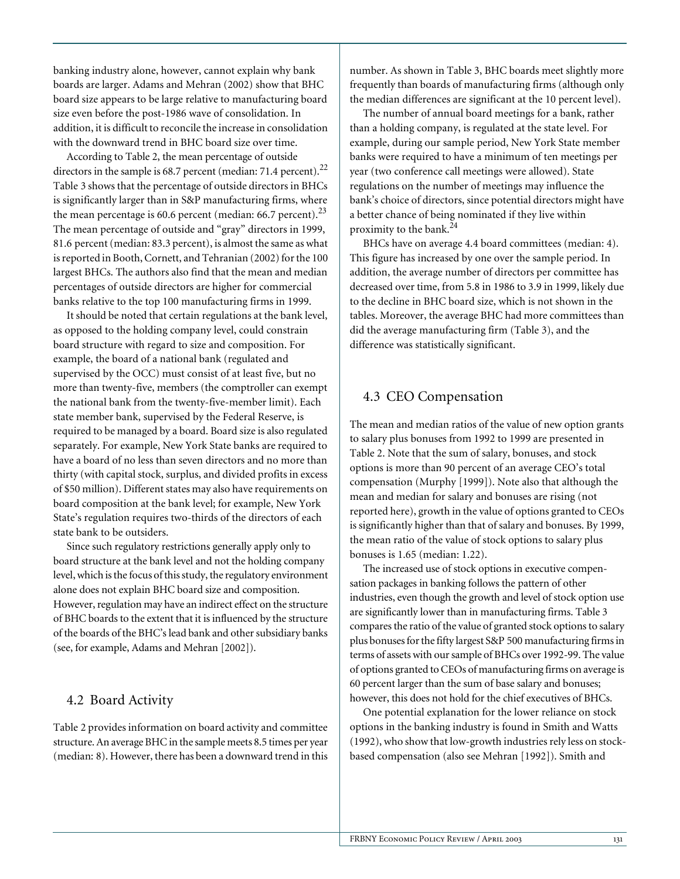banking industry alone, however, cannot explain why bank boards are larger. Adams and Mehran (2002) show that BHC board size appears to be large relative to manufacturing board size even before the post-1986 wave of consolidation. In addition, it is difficult to reconcile the increase in consolidation with the downward trend in BHC board size over time.

According to Table 2, the mean percentage of outside directors in the sample is 68.7 percent (median: 71.4 percent).<sup>22</sup> Table 3 shows that the percentage of outside directors in BHCs is significantly larger than in S&P manufacturing firms, where the mean percentage is 60.6 percent (median: 66.7 percent). $^{23}$ The mean percentage of outside and "gray" directors in 1999, 81.6 percent (median: 83.3 percent), is almost the same as what is reported in Booth, Cornett, and Tehranian (2002) for the 100 largest BHCs. The authors also find that the mean and median percentages of outside directors are higher for commercial banks relative to the top 100 manufacturing firms in 1999.

It should be noted that certain regulations at the bank level, as opposed to the holding company level, could constrain board structure with regard to size and composition. For example, the board of a national bank (regulated and supervised by the OCC) must consist of at least five, but no more than twenty-five, members (the comptroller can exempt the national bank from the twenty-five-member limit). Each state member bank, supervised by the Federal Reserve, is required to be managed by a board. Board size is also regulated separately. For example, New York State banks are required to have a board of no less than seven directors and no more than thirty (with capital stock, surplus, and divided profits in excess of \$50 million). Different states may also have requirements on board composition at the bank level; for example, New York State's regulation requires two-thirds of the directors of each state bank to be outsiders.

Since such regulatory restrictions generally apply only to board structure at the bank level and not the holding company level, which is the focus of this study, the regulatory environment alone does not explain BHC board size and composition. However, regulation may have an indirect effect on the structure of BHC boards to the extent that it is influenced by the structure of the boards of the BHC's lead bank and other subsidiary banks (see, for example, Adams and Mehran [2002]).

#### 4.2 Board Activity

Table 2 provides information on board activity and committee structure. An average BHC in the sample meets 8.5 times per year (median: 8). However, there has been a downward trend in this

number. As shown in Table 3, BHC boards meet slightly more frequently than boards of manufacturing firms (although only the median differences are significant at the 10 percent level).

The number of annual board meetings for a bank, rather than a holding company, is regulated at the state level. For example, during our sample period, New York State member banks were required to have a minimum of ten meetings per year (two conference call meetings were allowed). State regulations on the number of meetings may influence the bank's choice of directors, since potential directors might have a better chance of being nominated if they live within proximity to the bank.<sup>24</sup>

BHCs have on average 4.4 board committees (median: 4). This figure has increased by one over the sample period. In addition, the average number of directors per committee has decreased over time, from 5.8 in 1986 to 3.9 in 1999, likely due to the decline in BHC board size, which is not shown in the tables. Moreover, the average BHC had more committees than did the average manufacturing firm (Table 3), and the difference was statistically significant.

## 4.3 CEO Compensation

The mean and median ratios of the value of new option grants to salary plus bonuses from 1992 to 1999 are presented in Table 2. Note that the sum of salary, bonuses, and stock options is more than 90 percent of an average CEO's total compensation (Murphy [1999]). Note also that although the mean and median for salary and bonuses are rising (not reported here), growth in the value of options granted to CEOs is significantly higher than that of salary and bonuses. By 1999, the mean ratio of the value of stock options to salary plus bonuses is 1.65 (median: 1.22).

The increased use of stock options in executive compensation packages in banking follows the pattern of other industries, even though the growth and level of stock option use are significantly lower than in manufacturing firms. Table 3 compares the ratio of the value of granted stock options to salary plus bonuses for the fifty largest S&P 500 manufacturing firms in terms of assets with our sample of BHCs over 1992-99. The value of options granted to CEOs of manufacturing firms on average is 60 percent larger than the sum of base salary and bonuses; however, this does not hold for the chief executives of BHCs.

One potential explanation for the lower reliance on stock options in the banking industry is found in Smith and Watts (1992), who show that low-growth industries rely less on stockbased compensation (also see Mehran [1992]). Smith and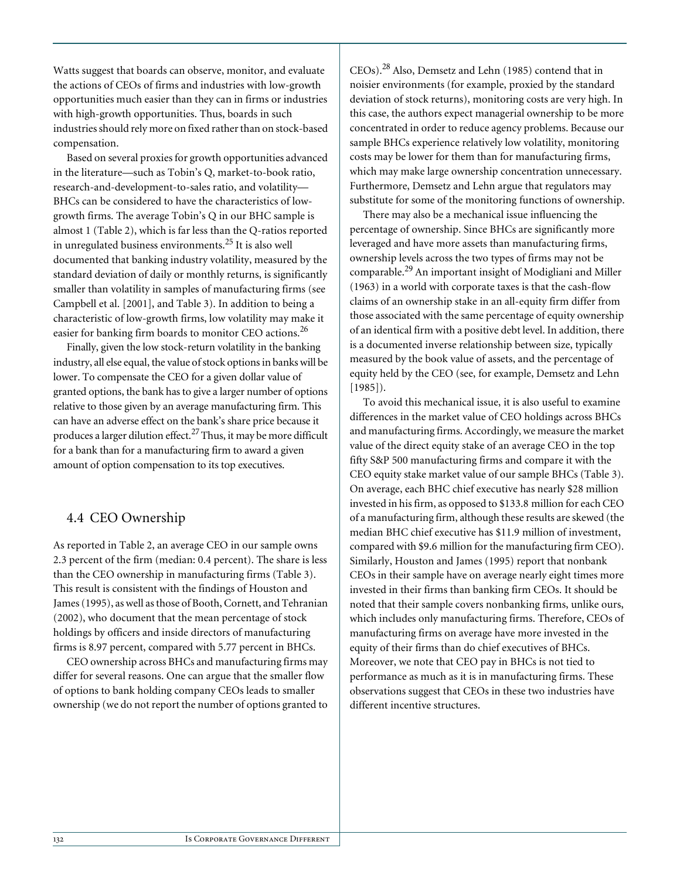Watts suggest that boards can observe, monitor, and evaluate the actions of CEOs of firms and industries with low-growth opportunities much easier than they can in firms or industries with high-growth opportunities. Thus, boards in such industries should rely more on fixed rather than on stock-based compensation.

Based on several proxies for growth opportunities advanced in the literature—such as Tobin's Q, market-to-book ratio, research-and-development-to-sales ratio, and volatility— BHCs can be considered to have the characteristics of lowgrowth firms. The average Tobin's Q in our BHC sample is almost 1 (Table 2), which is far less than the Q-ratios reported in unregulated business environments.25 It is also well documented that banking industry volatility, measured by the standard deviation of daily or monthly returns, is significantly smaller than volatility in samples of manufacturing firms (see Campbell et al. [2001], and Table 3). In addition to being a characteristic of low-growth firms, low volatility may make it easier for banking firm boards to monitor CEO actions.<sup>26</sup>

Finally, given the low stock-return volatility in the banking industry, all else equal, the value of stock options in banks will be lower. To compensate the CEO for a given dollar value of granted options, the bank has to give a larger number of options relative to those given by an average manufacturing firm. This can have an adverse effect on the bank's share price because it produces a larger dilution effect.<sup>27</sup> Thus, it may be more difficult for a bank than for a manufacturing firm to award a given amount of option compensation to its top executives.

#### 4.4 CEO Ownership

As reported in Table 2, an average CEO in our sample owns 2.3 percent of the firm (median: 0.4 percent). The share is less than the CEO ownership in manufacturing firms (Table 3). This result is consistent with the findings of Houston and James (1995), as well as those of Booth, Cornett, and Tehranian (2002), who document that the mean percentage of stock holdings by officers and inside directors of manufacturing firms is 8.97 percent, compared with 5.77 percent in BHCs.

CEO ownership across BHCs and manufacturing firms may differ for several reasons. One can argue that the smaller flow of options to bank holding company CEOs leads to smaller ownership (we do not report the number of options granted to

CEOs).28 Also, Demsetz and Lehn (1985) contend that in noisier environments (for example, proxied by the standard deviation of stock returns), monitoring costs are very high. In this case, the authors expect managerial ownership to be more concentrated in order to reduce agency problems. Because our sample BHCs experience relatively low volatility, monitoring costs may be lower for them than for manufacturing firms, which may make large ownership concentration unnecessary. Furthermore, Demsetz and Lehn argue that regulators may substitute for some of the monitoring functions of ownership.

There may also be a mechanical issue influencing the percentage of ownership. Since BHCs are significantly more leveraged and have more assets than manufacturing firms, ownership levels across the two types of firms may not be comparable.29 An important insight of Modigliani and Miller (1963) in a world with corporate taxes is that the cash-flow claims of an ownership stake in an all-equity firm differ from those associated with the same percentage of equity ownership of an identical firm with a positive debt level. In addition, there is a documented inverse relationship between size, typically measured by the book value of assets, and the percentage of equity held by the CEO (see, for example, Demsetz and Lehn [1985]).

To avoid this mechanical issue, it is also useful to examine differences in the market value of CEO holdings across BHCs and manufacturing firms. Accordingly, we measure the market value of the direct equity stake of an average CEO in the top fifty S&P 500 manufacturing firms and compare it with the CEO equity stake market value of our sample BHCs (Table 3). On average, each BHC chief executive has nearly \$28 million invested in his firm, as opposed to \$133.8 million for each CEO of a manufacturing firm, although these results are skewed (the median BHC chief executive has \$11.9 million of investment, compared with \$9.6 million for the manufacturing firm CEO). Similarly, Houston and James (1995) report that nonbank CEOs in their sample have on average nearly eight times more invested in their firms than banking firm CEOs. It should be noted that their sample covers nonbanking firms, unlike ours, which includes only manufacturing firms. Therefore, CEOs of manufacturing firms on average have more invested in the equity of their firms than do chief executives of BHCs. Moreover, we note that CEO pay in BHCs is not tied to performance as much as it is in manufacturing firms. These observations suggest that CEOs in these two industries have different incentive structures.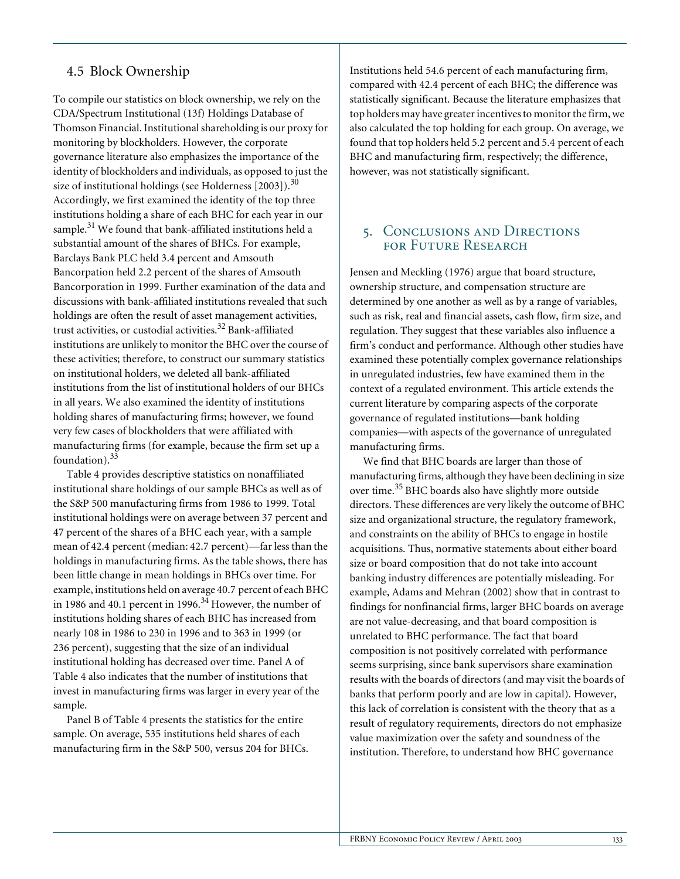# 4.5 Block Ownership

To compile our statistics on block ownership, we rely on the CDA/Spectrum Institutional (13f) Holdings Database of Thomson Financial. Institutional shareholding is our proxy for monitoring by blockholders. However, the corporate governance literature also emphasizes the importance of the identity of blockholders and individuals, as opposed to just the size of institutional holdings (see Holderness  $[2003]$ ).<sup>30</sup> Accordingly, we first examined the identity of the top three institutions holding a share of each BHC for each year in our sample.<sup>31</sup> We found that bank-affiliated institutions held a substantial amount of the shares of BHCs. For example, Barclays Bank PLC held 3.4 percent and Amsouth Bancorpation held 2.2 percent of the shares of Amsouth Bancorporation in 1999. Further examination of the data and discussions with bank-affiliated institutions revealed that such holdings are often the result of asset management activities, trust activities, or custodial activities.<sup>32</sup> Bank-affiliated institutions are unlikely to monitor the BHC over the course of these activities; therefore, to construct our summary statistics on institutional holders, we deleted all bank-affiliated institutions from the list of institutional holders of our BHCs in all years. We also examined the identity of institutions holding shares of manufacturing firms; however, we found very few cases of blockholders that were affiliated with manufacturing firms (for example, because the firm set up a foundation). $33$ 

Table 4 provides descriptive statistics on nonaffiliated institutional share holdings of our sample BHCs as well as of the S&P 500 manufacturing firms from 1986 to 1999. Total institutional holdings were on average between 37 percent and 47 percent of the shares of a BHC each year, with a sample mean of 42.4 percent (median: 42.7 percent)—far less than the holdings in manufacturing firms. As the table shows, there has been little change in mean holdings in BHCs over time. For example, institutions held on average 40.7 percent of each BHC in 1986 and 40.1 percent in 1996.<sup>34</sup> However, the number of institutions holding shares of each BHC has increased from nearly 108 in 1986 to 230 in 1996 and to 363 in 1999 (or 236 percent), suggesting that the size of an individual institutional holding has decreased over time. Panel A of Table 4 also indicates that the number of institutions that invest in manufacturing firms was larger in every year of the sample.

Panel B of Table 4 presents the statistics for the entire sample. On average, 535 institutions held shares of each manufacturing firm in the S&P 500, versus 204 for BHCs. Institutions held 54.6 percent of each manufacturing firm, compared with 42.4 percent of each BHC; the difference was statistically significant. Because the literature emphasizes that top holders may have greater incentives to monitor the firm, we also calculated the top holding for each group. On average, we found that top holders held 5.2 percent and 5.4 percent of each BHC and manufacturing firm, respectively; the difference, however, was not statistically significant.

### 5. Conclusions and Directions for Future Research

Jensen and Meckling (1976) argue that board structure, ownership structure, and compensation structure are determined by one another as well as by a range of variables, such as risk, real and financial assets, cash flow, firm size, and regulation. They suggest that these variables also influence a firm's conduct and performance. Although other studies have examined these potentially complex governance relationships in unregulated industries, few have examined them in the context of a regulated environment. This article extends the current literature by comparing aspects of the corporate governance of regulated institutions—bank holding companies—with aspects of the governance of unregulated manufacturing firms.

We find that BHC boards are larger than those of manufacturing firms, although they have been declining in size over time.<sup>35</sup> BHC boards also have slightly more outside directors. These differences are very likely the outcome of BHC size and organizational structure, the regulatory framework, and constraints on the ability of BHCs to engage in hostile acquisitions. Thus, normative statements about either board size or board composition that do not take into account banking industry differences are potentially misleading. For example, Adams and Mehran (2002) show that in contrast to findings for nonfinancial firms, larger BHC boards on average are not value-decreasing, and that board composition is unrelated to BHC performance. The fact that board composition is not positively correlated with performance seems surprising, since bank supervisors share examination results with the boards of directors (and may visit the boards of banks that perform poorly and are low in capital). However, this lack of correlation is consistent with the theory that as a result of regulatory requirements, directors do not emphasize value maximization over the safety and soundness of the institution. Therefore, to understand how BHC governance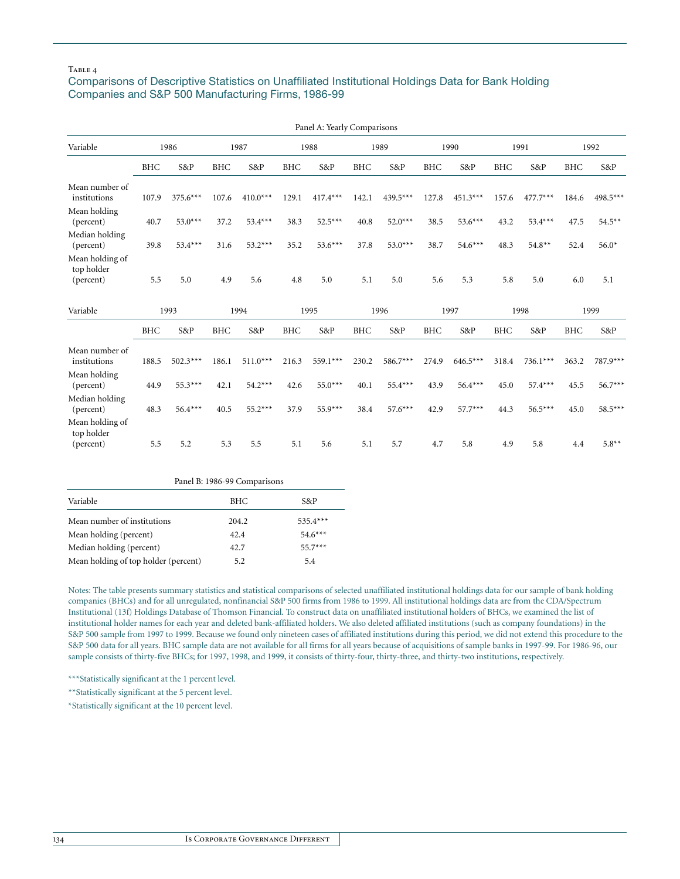#### TABLE 4

#### Comparisons of Descriptive Statistics on Unaffiliated Institutional Holdings Data for Bank Holding Companies and S&P 500 Manufacturing Firms, 1986-99

|                                            |            |            |            |                              |            | Panel A: Yearly Comparisons |            |            |            |            |            |            |            |            |
|--------------------------------------------|------------|------------|------------|------------------------------|------------|-----------------------------|------------|------------|------------|------------|------------|------------|------------|------------|
| Variable                                   |            | 1986       |            | 1987                         |            | 1988                        |            | 1989       |            | 1990       |            | 1991       |            | 1992       |
|                                            | <b>BHC</b> | S&P        | <b>BHC</b> | S&P                          | <b>BHC</b> | S&P                         | <b>BHC</b> | S&P        | <b>BHC</b> | S&P        | <b>BHC</b> | S&P        | <b>BHC</b> | S&P        |
| Mean number of<br>institutions             | 107.9      | $375.6***$ | 107.6      | $410.0***$                   | 129.1      | $417.4***$                  | 142.1      | $439.5***$ | 127.8      | $451.3***$ | 157.6      | $477.7***$ | 184.6      | $498.5***$ |
| Mean holding<br>(percent)                  | 40.7       | $53.0***$  | 37.2       | 53.4***                      | 38.3       | $52.5***$                   | 40.8       | $52.0***$  | 38.5       | $53.6***$  | 43.2       | 53.4***    | 47.5       | $54.5**$   |
| Median holding<br>(percent)                | 39.8       | $53.4***$  | 31.6       | $53.2***$                    | 35.2       | $53.6***$                   | 37.8       | $53.0***$  | 38.7       | $54.6***$  | 48.3       | $54.8**$   | 52.4       | $56.0*$    |
| Mean holding of<br>top holder<br>(percent) | 5.5        | 5.0        | 4.9        | 5.6                          | 4.8        | 5.0                         | 5.1        | 5.0        | 5.6        | 5.3        | 5.8        | 5.0        | 6.0        | 5.1        |
| Variable                                   |            | 1993       |            | 1994                         |            | 1995                        |            | 1996       |            | 1997       |            | 1998       |            | 1999       |
|                                            | <b>BHC</b> | S&P        | <b>BHC</b> | S&P                          | <b>BHC</b> | S&P                         | <b>BHC</b> | S&P        | <b>BHC</b> | S&P        | <b>BHC</b> | S&P        | <b>BHC</b> | S&P        |
| Mean number of<br>institutions             | 188.5      | $502.3***$ | 186.1      | $511.0***$                   | 216.3      | $559.1***$                  | 230.2      | 586.7***   | 274.9      | 646.5***   | 318.4      | $736.1***$ | 363.2      | 787.9***   |
| Mean holding<br>(percent)                  | 44.9       | $55.3***$  | 42.1       | $54.2***$                    | 42.6       | 55.0***                     | 40.1       | $55.4***$  | 43.9       | $56.4***$  | 45.0       | $57.4***$  | 45.5       | $56.7***$  |
| Median holding<br>(percent)                | 48.3       | $56.4***$  | 40.5       | $55.2***$                    | 37.9       | 55.9***                     | 38.4       | $57.6***$  | 42.9       | $57.7***$  | 44.3       | $56.5***$  | 45.0       | $58.5***$  |
| Mean holding of<br>top holder<br>(percent) | 5.5        | 5.2        | 5.3        | 5.5                          | 5.1        | 5.6                         | 5.1        | 5.7        | 4.7        | 5.8        | 4.9        | 5.8        | 4.4        | $5.8**$    |
|                                            |            |            |            | Panel B: 1986-99 Comparisons |            |                             |            |            |            |            |            |            |            |            |

|                                      | Patiel D. 1900-99 Comparisons |            |
|--------------------------------------|-------------------------------|------------|
| Variable                             | <b>BHC</b>                    | $S\&P$     |
| Mean number of institutions          | 204.2                         | $535.4***$ |
| Mean holding (percent)               | 42.4                          | $54.6***$  |
| Median holding (percent)             | 42.7                          | $55.7***$  |
| Mean holding of top holder (percent) | 5.2                           | 5.4        |

Notes: The table presents summary statistics and statistical comparisons of selected unaffiliated institutional holdings data for our sample of bank holding companies (BHCs) and for all unregulated, nonfinancial S&P 500 firms from 1986 to 1999. All institutional holdings data are from the CDA/Spectrum Institutional (13f) Holdings Database of Thomson Financial. To construct data on unaffiliated institutional holders of BHCs, we examined the list of institutional holder names for each year and deleted bank-affiliated holders. We also deleted affiliated institutions (such as company foundations) in the S&P 500 sample from 1997 to 1999. Because we found only nineteen cases of affiliated institutions during this period, we did not extend this procedure to the S&P 500 data for all years. BHC sample data are not available for all firms for all years because of acquisitions of sample banks in 1997-99. For 1986-96, our sample consists of thirty-five BHCs; for 1997, 1998, and 1999, it consists of thirty-four, thirty-three, and thirty-two institutions, respectively.

\*\*\*Statistically significant at the 1 percent level.

\*\*Statistically significant at the 5 percent level.

\*Statistically significant at the 10 percent level.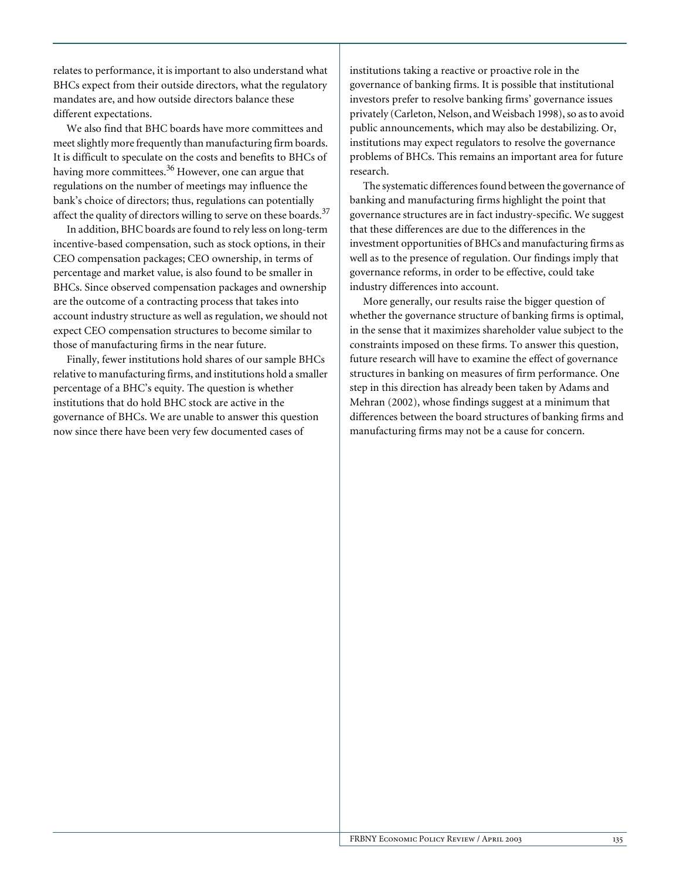relates to performance, it is important to also understand what BHCs expect from their outside directors, what the regulatory mandates are, and how outside directors balance these different expectations.

We also find that BHC boards have more committees and meet slightly more frequently than manufacturing firm boards. It is difficult to speculate on the costs and benefits to BHCs of having more committees.<sup>36</sup> However, one can argue that regulations on the number of meetings may influence the bank's choice of directors; thus, regulations can potentially affect the quality of directors willing to serve on these boards.<sup>37</sup>

In addition, BHC boards are found to rely less on long-term incentive-based compensation, such as stock options, in their CEO compensation packages; CEO ownership, in terms of percentage and market value, is also found to be smaller in BHCs. Since observed compensation packages and ownership are the outcome of a contracting process that takes into account industry structure as well as regulation, we should not expect CEO compensation structures to become similar to those of manufacturing firms in the near future.

Finally, fewer institutions hold shares of our sample BHCs relative to manufacturing firms, and institutions hold a smaller percentage of a BHC's equity. The question is whether institutions that do hold BHC stock are active in the governance of BHCs. We are unable to answer this question now since there have been very few documented cases of

institutions taking a reactive or proactive role in the governance of banking firms. It is possible that institutional investors prefer to resolve banking firms' governance issues privately (Carleton, Nelson, and Weisbach 1998), so as to avoid public announcements, which may also be destabilizing. Or, institutions may expect regulators to resolve the governance problems of BHCs. This remains an important area for future research.

The systematic differences found between the governance of banking and manufacturing firms highlight the point that governance structures are in fact industry-specific. We suggest that these differences are due to the differences in the investment opportunities of BHCs and manufacturing firms as well as to the presence of regulation. Our findings imply that governance reforms, in order to be effective, could take industry differences into account.

More generally, our results raise the bigger question of whether the governance structure of banking firms is optimal, in the sense that it maximizes shareholder value subject to the constraints imposed on these firms. To answer this question, future research will have to examine the effect of governance structures in banking on measures of firm performance. One step in this direction has already been taken by Adams and Mehran (2002), whose findings suggest at a minimum that differences between the board structures of banking firms and manufacturing firms may not be a cause for concern.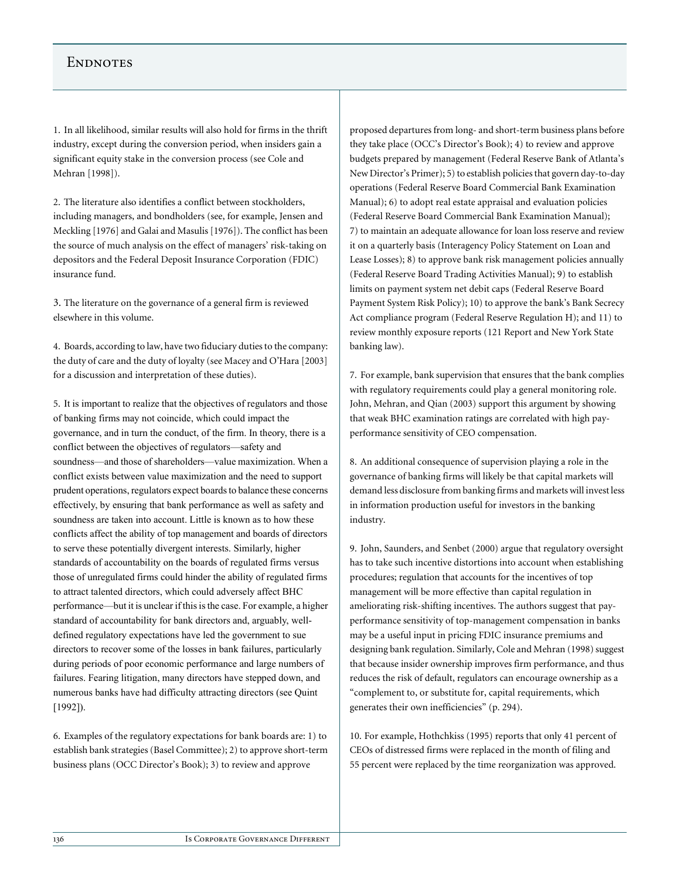#### **ENDNOTES**

1. In all likelihood, similar results will also hold for firms in the thrift industry, except during the conversion period, when insiders gain a significant equity stake in the conversion process (see Cole and Mehran [1998]).

2. The literature also identifies a conflict between stockholders, including managers, and bondholders (see, for example, Jensen and Meckling [1976] and Galai and Masulis [1976]). The conflict has been the source of much analysis on the effect of managers' risk-taking on depositors and the Federal Deposit Insurance Corporation (FDIC) insurance fund.

3. The literature on the governance of a general firm is reviewed elsewhere in this volume.

4. Boards, according to law, have two fiduciary duties to the company: the duty of care and the duty of loyalty (see Macey and O'Hara [2003] for a discussion and interpretation of these duties).

5. It is important to realize that the objectives of regulators and those of banking firms may not coincide, which could impact the governance, and in turn the conduct, of the firm. In theory, there is a conflict between the objectives of regulators—safety and soundness—and those of shareholders—value maximization. When a conflict exists between value maximization and the need to support prudent operations, regulators expect boards to balance these concerns effectively, by ensuring that bank performance as well as safety and soundness are taken into account. Little is known as to how these conflicts affect the ability of top management and boards of directors to serve these potentially divergent interests. Similarly, higher standards of accountability on the boards of regulated firms versus those of unregulated firms could hinder the ability of regulated firms to attract talented directors, which could adversely affect BHC performance—but it is unclear if this is the case. For example, a higher standard of accountability for bank directors and, arguably, welldefined regulatory expectations have led the government to sue directors to recover some of the losses in bank failures, particularly during periods of poor economic performance and large numbers of failures. Fearing litigation, many directors have stepped down, and numerous banks have had difficulty attracting directors (see Quint [1992]).

6. Examples of the regulatory expectations for bank boards are: 1) to establish bank strategies (Basel Committee); 2) to approve short-term business plans (OCC Director's Book); 3) to review and approve

proposed departures from long- and short-term business plans before they take place (OCC's Director's Book); 4) to review and approve budgets prepared by management (Federal Reserve Bank of Atlanta's New Director's Primer); 5) to establish policies that govern day-to-day operations (Federal Reserve Board Commercial Bank Examination Manual); 6) to adopt real estate appraisal and evaluation policies (Federal Reserve Board Commercial Bank Examination Manual); 7) to maintain an adequate allowance for loan loss reserve and review it on a quarterly basis (Interagency Policy Statement on Loan and Lease Losses); 8) to approve bank risk management policies annually (Federal Reserve Board Trading Activities Manual); 9) to establish limits on payment system net debit caps (Federal Reserve Board Payment System Risk Policy); 10) to approve the bank's Bank Secrecy Act compliance program (Federal Reserve Regulation H); and 11) to review monthly exposure reports (121 Report and New York State banking law).

7. For example, bank supervision that ensures that the bank complies with regulatory requirements could play a general monitoring role. John, Mehran, and Qian (2003) support this argument by showing that weak BHC examination ratings are correlated with high payperformance sensitivity of CEO compensation.

8. An additional consequence of supervision playing a role in the governance of banking firms will likely be that capital markets will demand less disclosure from banking firms and markets will invest less in information production useful for investors in the banking industry.

9. John, Saunders, and Senbet (2000) argue that regulatory oversight has to take such incentive distortions into account when establishing procedures; regulation that accounts for the incentives of top management will be more effective than capital regulation in ameliorating risk-shifting incentives. The authors suggest that payperformance sensitivity of top-management compensation in banks may be a useful input in pricing FDIC insurance premiums and designing bank regulation. Similarly, Cole and Mehran (1998) suggest that because insider ownership improves firm performance, and thus reduces the risk of default, regulators can encourage ownership as a "complement to, or substitute for, capital requirements, which generates their own inefficiencies" (p. 294).

10. For example, Hothchkiss (1995) reports that only 41 percent of CEOs of distressed firms were replaced in the month of filing and 55 percent were replaced by the time reorganization was approved.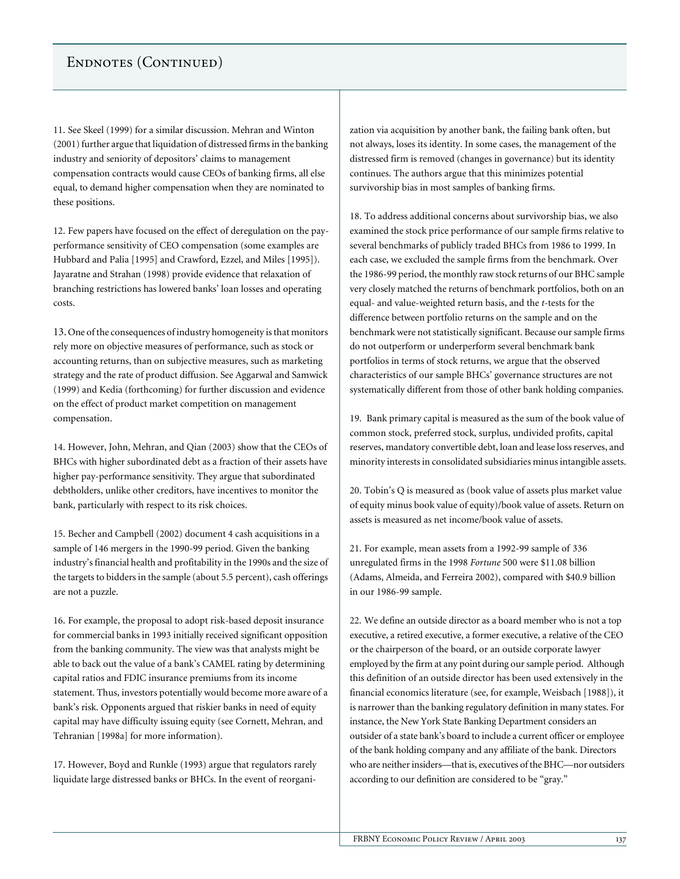# ENDNOTES (CONTINUED)

11. See Skeel (1999) for a similar discussion. Mehran and Winton (2001) further argue that liquidation of distressed firms in the banking industry and seniority of depositors' claims to management compensation contracts would cause CEOs of banking firms, all else equal, to demand higher compensation when they are nominated to these positions.

12. Few papers have focused on the effect of deregulation on the payperformance sensitivity of CEO compensation (some examples are Hubbard and Palia [1995] and Crawford, Ezzel, and Miles [1995]). Jayaratne and Strahan (1998) provide evidence that relaxation of branching restrictions has lowered banks' loan losses and operating costs.

13.One of the consequences of industry homogeneity is that monitors rely more on objective measures of performance, such as stock or accounting returns, than on subjective measures, such as marketing strategy and the rate of product diffusion. See Aggarwal and Samwick (1999) and Kedia (forthcoming) for further discussion and evidence on the effect of product market competition on management compensation.

14. However, John, Mehran, and Qian (2003) show that the CEOs of BHCs with higher subordinated debt as a fraction of their assets have higher pay-performance sensitivity. They argue that subordinated debtholders, unlike other creditors, have incentives to monitor the bank, particularly with respect to its risk choices.

15. Becher and Campbell (2002) document 4 cash acquisitions in a sample of 146 mergers in the 1990-99 period. Given the banking industry's financial health and profitability in the 1990s and the size of the targets to bidders in the sample (about 5.5 percent), cash offerings are not a puzzle.

16. For example, the proposal to adopt risk-based deposit insurance for commercial banks in 1993 initially received significant opposition from the banking community. The view was that analysts might be able to back out the value of a bank's CAMEL rating by determining capital ratios and FDIC insurance premiums from its income statement. Thus, investors potentially would become more aware of a bank's risk. Opponents argued that riskier banks in need of equity capital may have difficulty issuing equity (see Cornett, Mehran, and Tehranian [1998a] for more information).

17. However, Boyd and Runkle (1993) argue that regulators rarely liquidate large distressed banks or BHCs. In the event of reorganization via acquisition by another bank, the failing bank often, but not always, loses its identity. In some cases, the management of the distressed firm is removed (changes in governance) but its identity continues. The authors argue that this minimizes potential survivorship bias in most samples of banking firms.

18. To address additional concerns about survivorship bias, we also examined the stock price performance of our sample firms relative to several benchmarks of publicly traded BHCs from 1986 to 1999. In each case, we excluded the sample firms from the benchmark. Over the 1986-99 period, the monthly raw stock returns of our BHC sample very closely matched the returns of benchmark portfolios, both on an equal- and value-weighted return basis, and the *t*-tests for the difference between portfolio returns on the sample and on the benchmark were not statistically significant. Because our sample firms do not outperform or underperform several benchmark bank portfolios in terms of stock returns, we argue that the observed characteristics of our sample BHCs' governance structures are not systematically different from those of other bank holding companies.

19. Bank primary capital is measured as the sum of the book value of common stock, preferred stock, surplus, undivided profits, capital reserves, mandatory convertible debt, loan and lease loss reserves, and minority interests in consolidated subsidiaries minus intangible assets.

20. Tobin's Q is measured as (book value of assets plus market value of equity minus book value of equity)/book value of assets. Return on assets is measured as net income/book value of assets.

21. For example, mean assets from a 1992-99 sample of 336 unregulated firms in the 1998 *Fortune* 500 were \$11.08 billion (Adams, Almeida, and Ferreira 2002), compared with \$40.9 billion in our 1986-99 sample.

22. We define an outside director as a board member who is not a top executive, a retired executive, a former executive, a relative of the CEO or the chairperson of the board, or an outside corporate lawyer employed by the firm at any point during our sample period. Although this definition of an outside director has been used extensively in the financial economics literature (see, for example, Weisbach [1988]), it is narrower than the banking regulatory definition in many states. For instance, the New York State Banking Department considers an outsider of a state bank's board to include a current officer or employee of the bank holding company and any affiliate of the bank. Directors who are neither insiders—that is, executives of the BHC—nor outsiders according to our definition are considered to be "gray."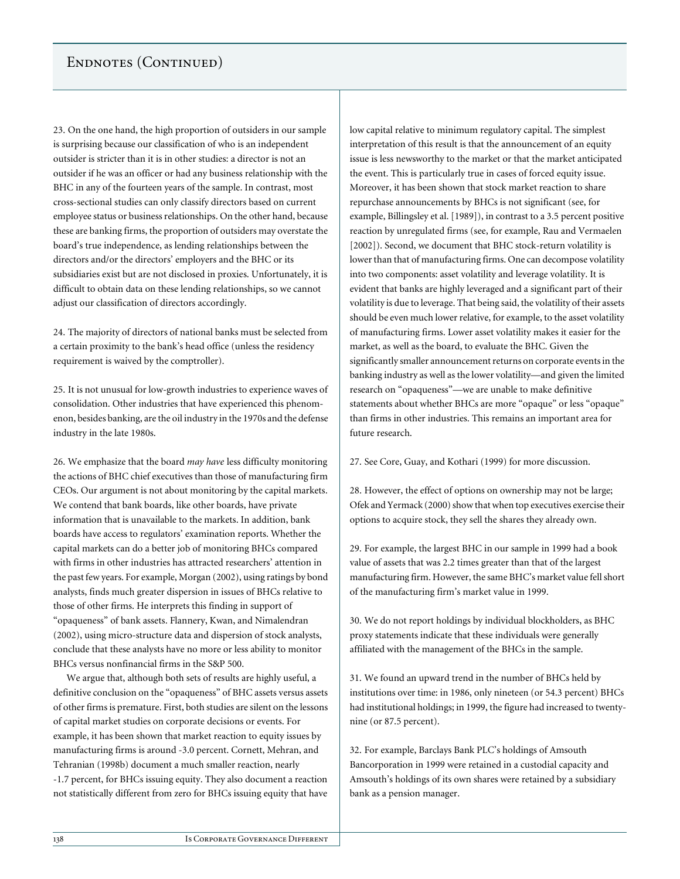# ENDNOTES (CONTINUED)

23. On the one hand, the high proportion of outsiders in our sample is surprising because our classification of who is an independent outsider is stricter than it is in other studies: a director is not an outsider if he was an officer or had any business relationship with the BHC in any of the fourteen years of the sample. In contrast, most cross-sectional studies can only classify directors based on current employee status or business relationships. On the other hand, because these are banking firms, the proportion of outsiders may overstate the board's true independence, as lending relationships between the directors and/or the directors' employers and the BHC or its subsidiaries exist but are not disclosed in proxies. Unfortunately, it is difficult to obtain data on these lending relationships, so we cannot adjust our classification of directors accordingly.

24. The majority of directors of national banks must be selected from a certain proximity to the bank's head office (unless the residency requirement is waived by the comptroller).

25. It is not unusual for low-growth industries to experience waves of consolidation. Other industries that have experienced this phenomenon, besides banking, are the oil industry in the 1970s and the defense industry in the late 1980s.

26. We emphasize that the board *may have* less difficulty monitoring the actions of BHC chief executives than those of manufacturing firm CEOs. Our argument is not about monitoring by the capital markets. We contend that bank boards, like other boards, have private information that is unavailable to the markets. In addition, bank boards have access to regulators' examination reports. Whether the capital markets can do a better job of monitoring BHCs compared with firms in other industries has attracted researchers' attention in the past few years. For example, Morgan (2002), using ratings by bond analysts, finds much greater dispersion in issues of BHCs relative to those of other firms. He interprets this finding in support of "opaqueness" of bank assets. Flannery, Kwan, and Nimalendran (2002), using micro-structure data and dispersion of stock analysts, conclude that these analysts have no more or less ability to monitor BHCs versus nonfinancial firms in the S&P 500.

We argue that, although both sets of results are highly useful, a definitive conclusion on the "opaqueness" of BHC assets versus assets of other firms is premature. First, both studies are silent on the lessons of capital market studies on corporate decisions or events. For example, it has been shown that market reaction to equity issues by manufacturing firms is around -3.0 percent. Cornett, Mehran, and Tehranian (1998b) document a much smaller reaction, nearly -1.7 percent, for BHCs issuing equity. They also document a reaction not statistically different from zero for BHCs issuing equity that have

low capital relative to minimum regulatory capital. The simplest interpretation of this result is that the announcement of an equity issue is less newsworthy to the market or that the market anticipated the event. This is particularly true in cases of forced equity issue. Moreover, it has been shown that stock market reaction to share repurchase announcements by BHCs is not significant (see, for example, Billingsley et al. [1989]), in contrast to a 3.5 percent positive reaction by unregulated firms (see, for example, Rau and Vermaelen [2002]). Second, we document that BHC stock-return volatility is lower than that of manufacturing firms. One can decompose volatility into two components: asset volatility and leverage volatility. It is evident that banks are highly leveraged and a significant part of their volatility is due to leverage. That being said, the volatility of their assets should be even much lower relative, for example, to the asset volatility of manufacturing firms. Lower asset volatility makes it easier for the market, as well as the board, to evaluate the BHC. Given the significantly smaller announcement returns on corporate events in the banking industry as well as the lower volatility—and given the limited research on "opaqueness"—we are unable to make definitive statements about whether BHCs are more "opaque" or less "opaque" than firms in other industries. This remains an important area for future research.

27. See Core, Guay, and Kothari (1999) for more discussion.

28. However, the effect of options on ownership may not be large; Ofek and Yermack (2000) show that when top executives exercise their options to acquire stock, they sell the shares they already own.

29. For example, the largest BHC in our sample in 1999 had a book value of assets that was 2.2 times greater than that of the largest manufacturing firm. However, the same BHC's market value fell short of the manufacturing firm's market value in 1999.

30. We do not report holdings by individual blockholders, as BHC proxy statements indicate that these individuals were generally affiliated with the management of the BHCs in the sample.

31. We found an upward trend in the number of BHCs held by institutions over time: in 1986, only nineteen (or 54.3 percent) BHCs had institutional holdings; in 1999, the figure had increased to twentynine (or 87.5 percent).

32. For example, Barclays Bank PLC's holdings of Amsouth Bancorporation in 1999 were retained in a custodial capacity and Amsouth's holdings of its own shares were retained by a subsidiary bank as a pension manager.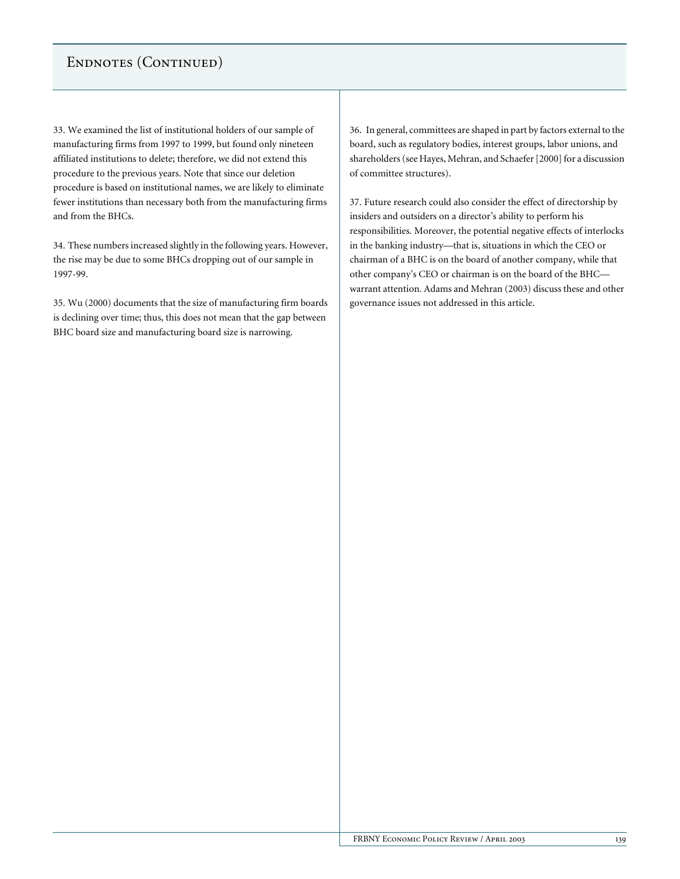# ENDNOTES (CONTINUED)

33. We examined the list of institutional holders of our sample of manufacturing firms from 1997 to 1999, but found only nineteen affiliated institutions to delete; therefore, we did not extend this procedure to the previous years. Note that since our deletion procedure is based on institutional names, we are likely to eliminate fewer institutions than necessary both from the manufacturing firms and from the BHCs.

34. These numbers increased slightly in the following years. However, the rise may be due to some BHCs dropping out of our sample in 1997-99.

35. Wu (2000) documents that the size of manufacturing firm boards is declining over time; thus, this does not mean that the gap between BHC board size and manufacturing board size is narrowing.

36. In general, committees are shaped in part by factors external to the board, such as regulatory bodies, interest groups, labor unions, and shareholders (see Hayes, Mehran, and Schaefer [2000] for a discussion of committee structures).

37. Future research could also consider the effect of directorship by insiders and outsiders on a director's ability to perform his responsibilities. Moreover, the potential negative effects of interlocks in the banking industry—that is, situations in which the CEO or chairman of a BHC is on the board of another company, while that other company's CEO or chairman is on the board of the BHC warrant attention. Adams and Mehran (2003) discuss these and other governance issues not addressed in this article.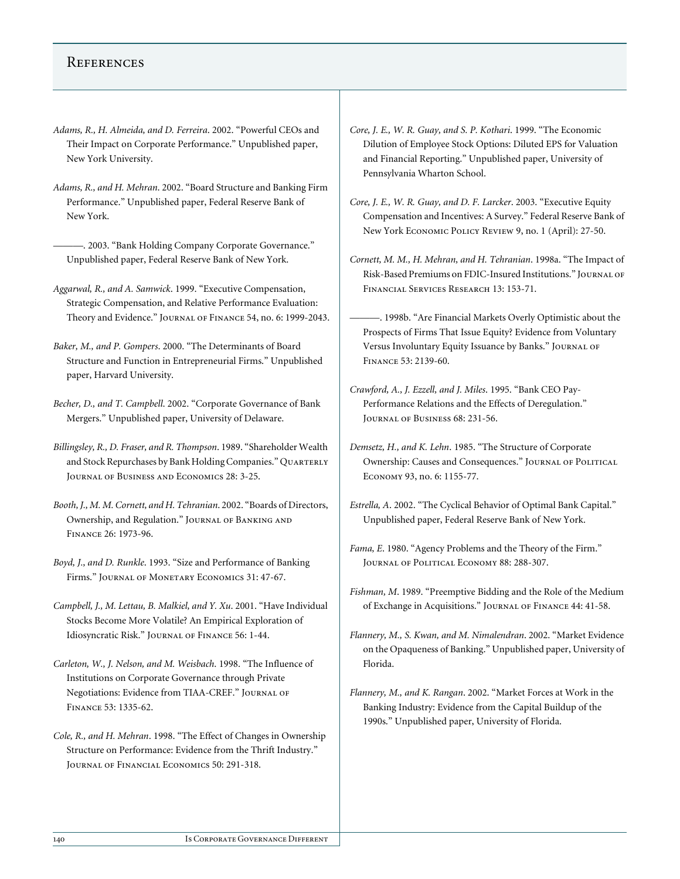#### **REFERENCES**

- *Adams, R., H. Almeida, and D. Ferreira*. 2002. "Powerful CEOs and Their Impact on Corporate Performance." Unpublished paper, New York University.
- *Adams, R., and H. Mehran*. 2002. "Board Structure and Banking Firm Performance." Unpublished paper, Federal Reserve Bank of New York.

-. 2003. "Bank Holding Company Corporate Governance." Unpublished paper, Federal Reserve Bank of New York.

- *Aggarwal, R., and A. Samwick*. 1999. "Executive Compensation, Strategic Compensation, and Relative Performance Evaluation: Theory and Evidence." Journal of Finance 54, no. 6: 1999-2043.
- *Baker, M., and P. Gompers*. 2000. "The Determinants of Board Structure and Function in Entrepreneurial Firms." Unpublished paper, Harvard University.
- *Becher, D., and T. Campbell*. 2002. "Corporate Governance of Bank Mergers." Unpublished paper, University of Delaware.
- *Billingsley, R., D. Fraser, and R. Thompson*. 1989. "Shareholder Wealth and Stock Repurchases by Bank Holding Companies." QUARTERLY Journal of Business and Economics 28: 3-25.
- *Booth, J., M. M. Cornett, and H. Tehranian*. 2002. "Boards of Directors, Ownership, and Regulation." Journal of Banking and Finance 26: 1973-96.
- *Boyd, J., and D. Runkle*. 1993. "Size and Performance of Banking Firms." Journal of Monetary Economics 31: 47-67.
- *Campbell, J., M. Lettau, B. Malkiel, and Y. Xu*. 2001. "Have Individual Stocks Become More Volatile? An Empirical Exploration of Idiosyncratic Risk." Journal of Finance 56: 1-44.
- *Carleton, W., J. Nelson, and M. Weisbach*. 1998. "The Influence of Institutions on Corporate Governance through Private Negotiations: Evidence from TIAA-CREF." Journal of Finance 53: 1335-62.
- *Cole, R., and H. Mehran*. 1998. "The Effect of Changes in Ownership Structure on Performance: Evidence from the Thrift Industry." Journal of Financial Economics 50: 291-318.
- *Core, J. E., W. R. Guay, and S. P. Kothari*. 1999. "The Economic Dilution of Employee Stock Options: Diluted EPS for Valuation and Financial Reporting." Unpublished paper, University of Pennsylvania Wharton School.
- *Core, J. E., W. R. Guay, and D. F. Larcker*. 2003. "Executive Equity Compensation and Incentives: A Survey." Federal Reserve Bank of New York Economic Policy Review 9, no. 1 (April): 27-50.
- *Cornett, M. M., H. Mehran, and H. Tehranian*. 1998a. "The Impact of Risk-Based Premiums on FDIC-Insured Institutions." Journal of Financial Services Research 13: 153-71.
- ———. 1998b. "Are Financial Markets Overly Optimistic about the Prospects of Firms That Issue Equity? Evidence from Voluntary Versus Involuntary Equity Issuance by Banks." Journal of Finance 53: 2139-60.
- *Crawford, A., J. Ezzell, and J. Miles*. 1995. "Bank CEO Pay-Performance Relations and the Effects of Deregulation." Journal of Business 68: 231-56.
- *Demsetz, H., and K. Lehn*. 1985. "The Structure of Corporate Ownership: Causes and Consequences." JOURNAL OF POLITICAL Economy 93, no. 6: 1155-77.
- *Estrella, A*. 2002. "The Cyclical Behavior of Optimal Bank Capital." Unpublished paper, Federal Reserve Bank of New York.
- *Fama, E*. 1980. "Agency Problems and the Theory of the Firm." Journal of Political Economy 88: 288-307.
- *Fishman, M*. 1989. "Preemptive Bidding and the Role of the Medium of Exchange in Acquisitions." Journal of Finance 44: 41-58.
- *Flannery, M., S. Kwan, and M. Nimalendran*. 2002. "Market Evidence on the Opaqueness of Banking." Unpublished paper, University of Florida.
- *Flannery, M., and K. Rangan*. 2002. "Market Forces at Work in the Banking Industry: Evidence from the Capital Buildup of the 1990s." Unpublished paper, University of Florida.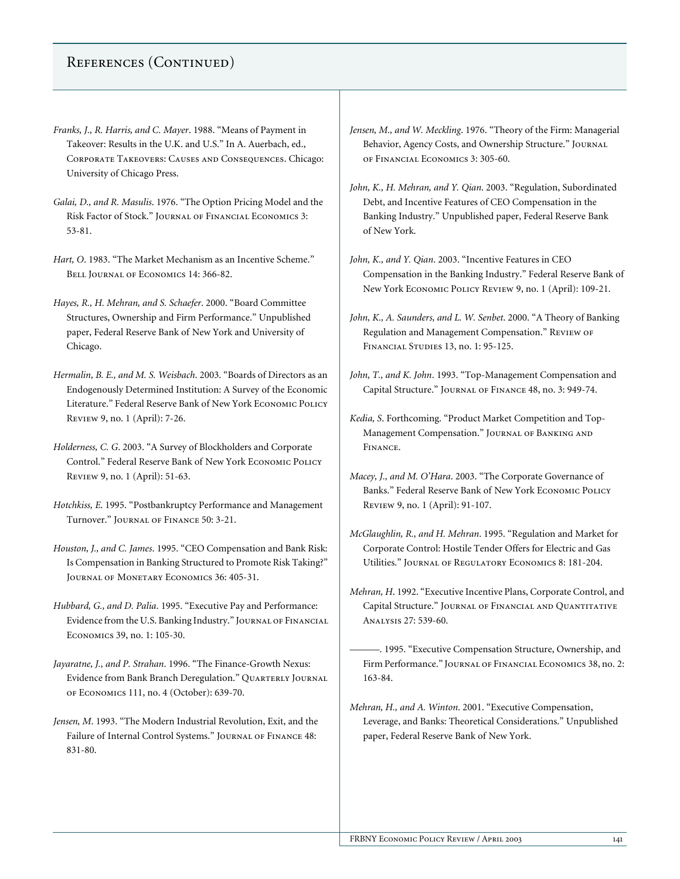# References (Continued)

- *Franks, J., R. Harris, and C. Mayer*. 1988. "Means of Payment in Takeover: Results in the U.K. and U.S." In A. Auerbach, ed., Corporate Takeovers: Causes and Consequences. Chicago: University of Chicago Press.
- *Galai, D., and R. Masulis*. 1976. "The Option Pricing Model and the Risk Factor of Stock." Journal of Financial Economics 3: 53-81.
- *Hart, O*. 1983. "The Market Mechanism as an Incentive Scheme." BELL JOURNAL OF ECONOMICS 14: 366-82.
- *Hayes, R., H. Mehran, and S. Schaefer*. 2000. "Board Committee Structures, Ownership and Firm Performance." Unpublished paper, Federal Reserve Bank of New York and University of Chicago.
- *Hermalin, B. E., and M. S. Weisbach*. 2003. "Boards of Directors as an Endogenously Determined Institution: A Survey of the Economic Literature." Federal Reserve Bank of New York Economic Policy Review 9, no. 1 (April): 7-26.
- *Holderness, C. G*. 2003. "A Survey of Blockholders and Corporate Control." Federal Reserve Bank of New York Economic Policy Review 9, no. 1 (April): 51-63.
- *Hotchkiss, E*. 1995. "Postbankruptcy Performance and Management Turnover." Journal of Finance 50: 3-21.
- *Houston, J., and C. James*. 1995. "CEO Compensation and Bank Risk: Is Compensation in Banking Structured to Promote Risk Taking?" Journal of Monetary Economics 36: 405-31.
- *Hubbard, G., and D. Palia*. 1995. "Executive Pay and Performance: Evidence from the U.S. Banking Industry." Journal of Financial Economics 39, no. 1: 105-30.
- *Jayaratne, J., and P. Strahan*. 1996. "The Finance-Growth Nexus: Evidence from Bank Branch Deregulation." QUARTERLY JOURNAL of Economics 111, no. 4 (October): 639-70.
- *Jensen, M*. 1993. "The Modern Industrial Revolution, Exit, and the Failure of Internal Control Systems." JOURNAL OF FINANCE 48: 831-80.
- *Jensen, M., and W. Meckling*. 1976. "Theory of the Firm: Managerial Behavior, Agency Costs, and Ownership Structure." Journal of Financial Economics 3: 305-60.
- *John, K., H. Mehran, and Y. Qian*. 2003. "Regulation, Subordinated Debt, and Incentive Features of CEO Compensation in the Banking Industry." Unpublished paper, Federal Reserve Bank of New York.
- *John, K., and Y. Qian*. 2003. "Incentive Features in CEO Compensation in the Banking Industry." Federal Reserve Bank of New York Economic Policy Review 9, no. 1 (April): 109-21.
- *John, K., A. Saunders, and L. W. Senbet*. 2000. "A Theory of Banking Regulation and Management Compensation." Review of Financial Studies 13, no. 1: 95-125.
- *John, T., and K. John*. 1993. "Top-Management Compensation and Capital Structure." Journal of Finance 48, no. 3: 949-74.
- *Kedia, S*. Forthcoming. "Product Market Competition and Top-Management Compensation." Journal of Banking and Finance.
- *Macey, J., and M. O'Hara*. 2003. "The Corporate Governance of Banks." Federal Reserve Bank of New York Economic Policy Review 9, no. 1 (April): 91-107.
- *McGlaughlin, R., and H. Mehran*. 1995. "Regulation and Market for Corporate Control: Hostile Tender Offers for Electric and Gas Utilities." Journal of Regulatory Economics 8: 181-204.
- *Mehran, H*. 1992. "Executive Incentive Plans, Corporate Control, and Capital Structure." Journal of Financial and Quantitative Analysis 27: 539-60.
	- ———. 1995. "Executive Compensation Structure, Ownership, and Firm Performance." Journal of Financial Economics 38, no. 2: 163-84.
- *Mehran, H., and A. Winton*. 2001. "Executive Compensation, Leverage, and Banks: Theoretical Considerations." Unpublished paper, Federal Reserve Bank of New York.